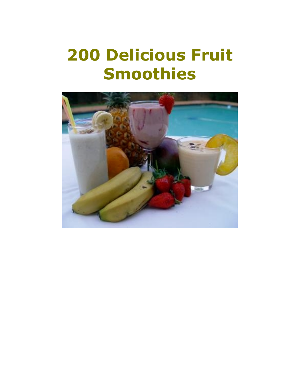# **200 Delicious Fruit Smoothies**

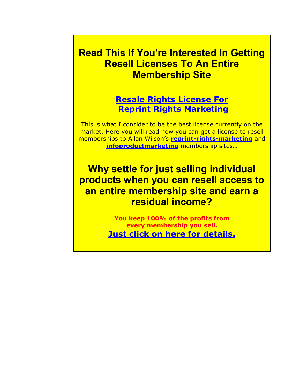**Read This If You're Interested In Getting Resell Licenses To An Entire Membership Site**

# **[Resale Rights License For](http://instantmembershipsite.com/)  [Reprint Rights Marketing](http://instantmembershipsite.com/)**

This is what I consider to be the best license currently on the market. Here you will read how you can get a license to resell memberships to Allan Wilson's **[reprint-rights-marketing](http://www.reprint-rights-marketing.com/)** and **[infoproductmarketing](http://www.infoproductmarketing.com/)** membership sites…

# **Why settle for just selling individual products when you can resell access to an entire membership site and earn a residual income?**

**You keep 100% of the profits from every membership you sell. [Just click on here for details.](http://www.instantmembershipsite.com/)**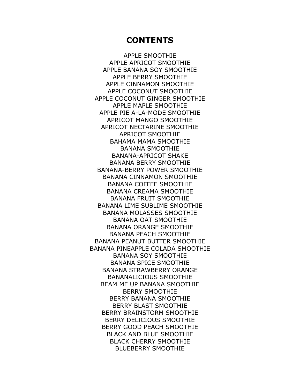## **CONTENTS**

APPLE SMOOTHIE APPLE APRICOT SMOOTHIE APPLE BANANA SOY SMOOTHIE APPLE BERRY SMOOTHIE APPLE CINNAMON SMOOTHIE APPLE COCONUT SMOOTHIE APPLE COCONUT GINGER SMOOTHIE APPLE MAPLE SMOOTHIE APPLE PIE A-LA-MODE SMOOTHIE APRICOT MANGO SMOOTHIE APRICOT NECTARINE SMOOTHIE APRICOT SMOOTHIE BAHAMA MAMA SMOOTHIE BANANA SMOOTHIE BANANA-APRICOT SHAKE BANANA BERRY SMOOTHIE BANANA-BERRY POWER SMOOTHIE BANANA CINNAMON SMOOTHIE BANANA COFFEE SMOOTHIE BANANA CREAMA SMOOTHIE BANANA FRUIT SMOOTHIE BANANA LIME SUBLIME SMOOTHIE BANANA MOLASSES SMOOTHIE BANANA OAT SMOOTHIE BANANA ORANGE SMOOTHIE BANANA PEACH SMOOTHIE BANANA PEANUT BUTTER SMOOTHIE BANANA PINEAPPLE COLADA SMOOTHIE BANANA SOY SMOOTHIE BANANA SPICE SMOOTHIE BANANA STRAWBERRY ORANGE BANANALICIOUS SMOOTHIE BEAM ME UP BANANA SMOOTHIE BERRY SMOOTHIE BERRY BANANA SMOOTHIE BERRY BLAST SMOOTHIE BERRY BRAINSTORM SMOOTHIE BERRY DELICIOUS SMOOTHIE BERRY GOOD PEACH SMOOTHIE BLACK AND BLUE SMOOTHIE BLACK CHERRY SMOOTHIE BLUEBERRY SMOOTHIE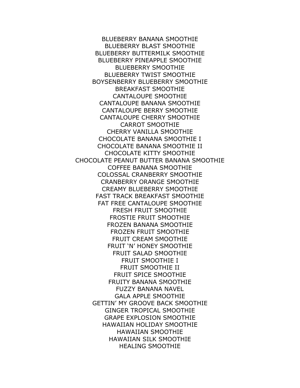BLUEBERRY BANANA SMOOTHIE BLUEBERRY BLAST SMOOTHIE BLUEBERRY BUTTERMILK SMOOTHIE BLUEBERRY PINEAPPLE SMOOTHIE BLUEBERRY SMOOTHIE BLUEBERRY TWIST SMOOTHIE BOYSENBERRY BLUEBERRY SMOOTHIE BREAKFAST SMOOTHIE CANTALOUPE SMOOTHIE CANTALOUPE BANANA SMOOTHIE CANTALOUPE BERRY SMOOTHIE CANTALOUPE CHERRY SMOOTHIE CARROT SMOOTHIE CHERRY VANILLA SMOOTHIE CHOCOLATE BANANA SMOOTHIE I CHOCOLATE BANANA SMOOTHIE II CHOCOLATE KITTY SMOOTHIE CHOCOLATE PEANUT BUTTER BANANA SMOOTHIE COFFEE BANANA SMOOTHIE COLOSSAL CRANBERRY SMOOTHIE CRANBERRY ORANGE SMOOTHIE CREAMY BLUEBERRY SMOOTHIE FAST TRACK BREAKFAST SMOOTHIE FAT FREE CANTALOUPE SMOOTHIE FRESH FRUIT SMOOTHIE FROSTIE FRUIT SMOOTHIE FROZEN BANANA SMOOTHIE FROZEN FRUIT SMOOTHIE FRUIT CREAM SMOOTHIE FRUIT 'N' HONEY SMOOTHIE FRUIT SALAD SMOOTHIE FRUIT SMOOTHIE I FRUIT SMOOTHIE II FRUIT SPICE SMOOTHIE FRUITY BANANA SMOOTHIE FUZZY BANANA NAVEL GALA APPLE SMOOTHIE GETTIN' MY GROOVE BACK SMOOTHIE GINGER TROPICAL SMOOTHIE GRAPE EXPLOSION SMOOTHIE HAWAIIAN HOLIDAY SMOOTHIE HAWAIIAN SMOOTHIE HAWAIIAN SILK SMOOTHIE HEALING SMOOTHIE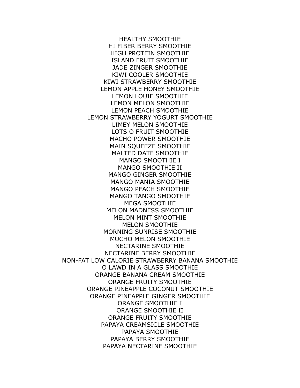HEALTHY SMOOTHIE HI FIBER BERRY SMOOTHIE HIGH PROTEIN SMOOTHIE ISLAND FRUIT SMOOTHIE JADE ZINGER SMOOTHIE KIWI COOLER SMOOTHIE KIWI STRAWBERRY SMOOTHIE LEMON APPLE HONEY SMOOTHIE LEMON LOUIE SMOOTHIE LEMON MELON SMOOTHIE LEMON PEACH SMOOTHIE LEMON STRAWBERRY YOGURT SMOOTHIE LIMEY MELON SMOOTHIE LOTS O FRUIT SMOOTHIE MACHO POWER SMOOTHIE MAIN SQUEEZE SMOOTHIE MALTED DATE SMOOTHIE MANGO SMOOTHIE I MANGO SMOOTHIE II MANGO GINGER SMOOTHIE MANGO MANIA SMOOTHIE MANGO PEACH SMOOTHIE MANGO TANGO SMOOTHIE MEGA SMOOTHIE MELON MADNESS SMOOTHIE MELON MINT SMOOTHIE MELON SMOOTHIE MORNING SUNRISE SMOOTHIE MUCHO MELON SMOOTHIE NECTARINE SMOOTHIE NECTARINE BERRY SMOOTHIE NON-FAT LOW CALORIE STRAWBERRY BANANA SMOOTHIE O LAWD IN A GLASS SMOOTHIE ORANGE BANANA CREAM SMOOTHIE ORANGE FRUITY SMOOTHIE ORANGE PINEAPPLE COCONUT SMOOTHIE ORANGE PINEAPPLE GINGER SMOOTHIE ORANGE SMOOTHIE I ORANGE SMOOTHIE II ORANGE FRUITY SMOOTHIE PAPAYA CREAMSICLE SMOOTHIE PAPAYA SMOOTHIE PAPAYA BERRY SMOOTHIE PAPAYA NECTARINE SMOOTHIE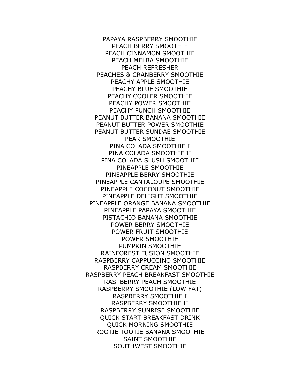PAPAYA RASPBERRY SMOOTHIE PEACH BERRY SMOOTHIE PEACH CINNAMON SMOOTHIE PEACH MELBA SMOOTHIE PEACH REFRESHER PEACHES & CRANBERRY SMOOTHIE PEACHY APPLE SMOOTHIE PEACHY BLUE SMOOTHIE PEACHY COOLER SMOOTHIE PEACHY POWER SMOOTHIE PEACHY PUNCH SMOOTHIE PEANUT BUTTER BANANA SMOOTHIE PEANUT BUTTER POWER SMOOTHIE PEANUT BUTTER SUNDAE SMOOTHIE PEAR SMOOTHIE PINA COLADA SMOOTHIE I PINA COLADA SMOOTHIE II PINA COLADA SLUSH SMOOTHIE PINEAPPLE SMOOTHIE PINEAPPLE BERRY SMOOTHIE PINEAPPLE CANTALOUPE SMOOTHIE PINEAPPLE COCONUT SMOOTHIE PINEAPPLE DELIGHT SMOOTHIE PINEAPPLE ORANGE BANANA SMOOTHIE PINEAPPLE PAPAYA SMOOTHIE PISTACHIO BANANA SMOOTHIE POWER BERRY SMOOTHIE POWER FRUIT SMOOTHIE POWER SMOOTHIE PUMPKIN SMOOTHIE RAINFOREST FUSION SMOOTHIE RASPBERRY CAPPUCCINO SMOOTHIE RASPBERRY CREAM SMOOTHIE RASPBERRY PEACH BREAKFAST SMOOTHIE RASPBERRY PEACH SMOOTHIE RASPBERRY SMOOTHIE (LOW FAT) RASPBERRY SMOOTHIE I RASPBERRY SMOOTHIE II RASPBERRY SUNRISE SMOOTHIE QUICK START BREAKFAST DRINK QUICK MORNING SMOOTHIE ROOTIE TOOTIE BANANA SMOOTHIE SAINT SMOOTHIE SOUTHWEST SMOOTHIE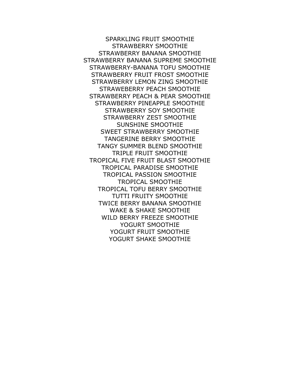SPARKLING FRUIT SMOOTHIE STRAWBERRY SMOOTHIE STRAWBERRY BANANA SMOOTHIE STRAWBERRY BANANA SUPREME SMOOTHIE STRAWBERRY-BANANA TOFU SMOOTHIE STRAWBERRY FRUIT FROST SMOOTHIE STRAWBERRY LEMON ZING SMOOTHIE STRAWEBERRY PEACH SMOOTHIE STRAWBERRY PEACH & PEAR SMOOTHIE STRAWBERRY PINEAPPLE SMOOTHIE STRAWBERRY SOY SMOOTHIE STRAWBERRY ZEST SMOOTHIE SUNSHINE SMOOTHIE SWEET STRAWBERRY SMOOTHIE TANGERINE BERRY SMOOTHIE TANGY SUMMER BLEND SMOOTHIE TRIPLE FRUIT SMOOTHIE TROPICAL FIVE FRUIT BLAST SMOOTHIE TROPICAL PARADISE SMOOTHIE TROPICAL PASSION SMOOTHIE TROPICAL SMOOTHIE TROPICAL TOFU BERRY SMOOTHIE TUTTI FRUITY SMOOTHIE TWICE BERRY BANANA SMOOTHIE WAKE & SHAKE SMOOTHIE WILD BERRY FREEZE SMOOTHIE YOGURT SMOOTHIE YOGURT FRUIT SMOOTHIE YOGURT SHAKE SMOOTHIE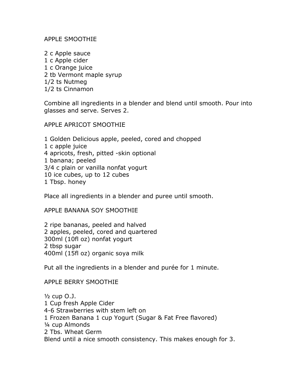APPLE SMOOTHIE

2 c Apple sauce 1 c Apple cider 1 c Orange juice 2 tb Vermont maple syrup 1/2 ts Nutmeg 1/2 ts Cinnamon

Combine all ingredients in a blender and blend until smooth. Pour into glasses and serve. Serves 2.

APPLE APRICOT SMOOTHIE

1 Golden Delicious apple, peeled, cored and chopped 1 c apple juice 4 apricots, fresh, pitted -skin optional 1 banana; peeled 3/4 c plain or vanilla nonfat yogurt 10 ice cubes, up to 12 cubes 1 Tbsp. honey

Place all ingredients in a blender and puree until smooth.

APPLE BANANA SOY SMOOTHIE

2 ripe bananas, peeled and halved 2 apples, peeled, cored and quartered 300ml (10fl oz) nonfat yogurt 2 tbsp sugar 400ml (15fl oz) organic soya milk

Put all the ingredients in a blender and purée for 1 minute.

APPLE BERRY SMOOTHIE

 $\frac{1}{2}$  cup O.J. 1 Cup fresh Apple Cider 4-6 Strawberries with stem left on 1 Frozen Banana 1 cup Yogurt (Sugar & Fat Free flavored) ¼ cup Almonds 2 Tbs. Wheat Germ Blend until a nice smooth consistency. This makes enough for 3.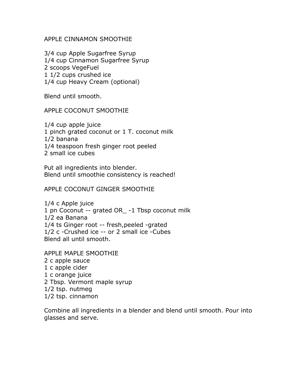#### APPLE CINNAMON SMOOTHIE

3/4 cup Apple Sugarfree Syrup 1/4 cup Cinnamon Sugarfree Syrup 2 scoops VegeFuel 1 1/2 cups crushed ice 1/4 cup Heavy Cream (optional)

Blend until smooth.

#### APPLE COCONUT SMOOTHIE

1/4 cup apple juice 1 pinch grated coconut or 1 T. coconut milk 1/2 banana 1/4 teaspoon fresh ginger root peeled 2 small ice cubes

Put all ingredients into blender. Blend until smoothie consistency is reached!

APPLE COCONUT GINGER SMOOTHIE

1/4 c Apple juice 1 pn Coconut -- grated OR\_ -1 Tbsp coconut milk 1/2 ea Banana 1/4 ts Ginger root -- fresh,peeled -grated 1/2 c -Crushed ice -- or 2 small ice -Cubes Blend all until smooth.

APPLE MAPLE SMOOTHIE 2 c apple sauce 1 c apple cider 1 c orange juice 2 Tbsp. Vermont maple syrup 1/2 tsp. nutmeg 1/2 tsp. cinnamon

Combine all ingredients in a blender and blend until smooth. Pour into glasses and serve.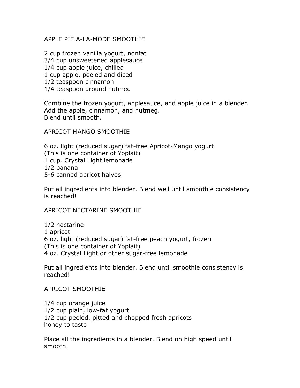APPLE PIE A-LA-MODE SMOOTHIE

2 cup frozen vanilla yogurt, nonfat 3/4 cup unsweetened applesauce 1/4 cup apple juice, chilled 1 cup apple, peeled and diced 1/2 teaspoon cinnamon 1/4 teaspoon ground nutmeg

Combine the frozen yogurt, applesauce, and apple juice in a blender. Add the apple, cinnamon, and nutmeg. Blend until smooth.

APRICOT MANGO SMOOTHIE

6 oz. light (reduced sugar) fat-free Apricot-Mango yogurt (This is one container of Yoplait) 1 cup. Crystal Light lemonade 1/2 banana 5-6 canned apricot halves

Put all ingredients into blender. Blend well until smoothie consistency is reached!

APRICOT NECTARINE SMOOTHIE

1/2 nectarine 1 apricot 6 oz. light (reduced sugar) fat-free peach yogurt, frozen (This is one container of Yoplait) 4 oz. Crystal Light or other sugar-free lemonade

Put all ingredients into blender. Blend until smoothie consistency is reached!

APRICOT SMOOTHIE

1/4 cup orange juice 1/2 cup plain, low-fat yogurt 1/2 cup peeled, pitted and chopped fresh apricots honey to taste

Place all the ingredients in a blender. Blend on high speed until smooth.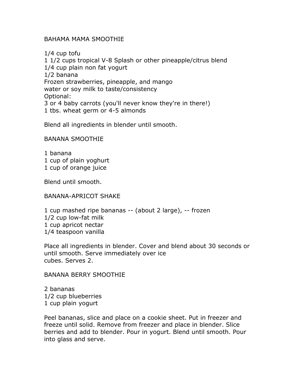#### BAHAMA MAMA SMOOTHIE

1/4 cup tofu 1 1/2 cups tropical V-8 Splash or other pineapple/citrus blend 1/4 cup plain non fat yogurt 1/2 banana Frozen strawberries, pineapple, and mango water or soy milk to taste/consistency Optional: 3 or 4 baby carrots (you'll never know they're in there!) 1 tbs. wheat germ or 4-5 almonds

Blend all ingredients in blender until smooth.

BANANA SMOOTHIE

1 banana

- 1 cup of plain yoghurt
- 1 cup of orange juice

Blend until smooth.

BANANA-APRICOT SHAKE

1 cup mashed ripe bananas -- (about 2 large), -- frozen 1/2 cup low-fat milk 1 cup apricot nectar 1/4 teaspoon vanilla

Place all ingredients in blender. Cover and blend about 30 seconds or until smooth. Serve immediately over ice cubes. Serves 2.

BANANA BERRY SMOOTHIE

2 bananas 1/2 cup blueberries 1 cup plain yogurt

Peel bananas, slice and place on a cookie sheet. Put in freezer and freeze until solid. Remove from freezer and place in blender. Slice berries and add to blender. Pour in yogurt. Blend until smooth. Pour into glass and serve.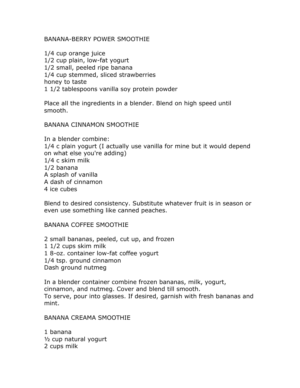#### BANANA-BERRY POWER SMOOTHIE

1/4 cup orange juice 1/2 cup plain, low-fat yogurt 1/2 small, peeled ripe banana 1/4 cup stemmed, sliced strawberries honey to taste 1 1/2 tablespoons vanilla soy protein powder

Place all the ingredients in a blender. Blend on high speed until smooth.

#### BANANA CINNAMON SMOOTHIE

In a blender combine: 1/4 c plain yogurt (I actually use vanilla for mine but it would depend on what else you're adding) 1/4 c skim milk 1/2 banana A splash of vanilla A dash of cinnamon 4 ice cubes

Blend to desired consistency. Substitute whatever fruit is in season or even use something like canned peaches.

#### BANANA COFFEE SMOOTHIE

2 small bananas, peeled, cut up, and frozen 1 1/2 cups skim milk 1 8-oz. container low-fat coffee yogurt 1/4 tsp. ground cinnamon Dash ground nutmeg

In a blender container combine frozen bananas, milk, yogurt, cinnamon, and nutmeg. Cover and blend till smooth. To serve, pour into glasses. If desired, garnish with fresh bananas and mint.

BANANA CREAMA SMOOTHIE

1 banana ½ cup natural yogurt 2 cups milk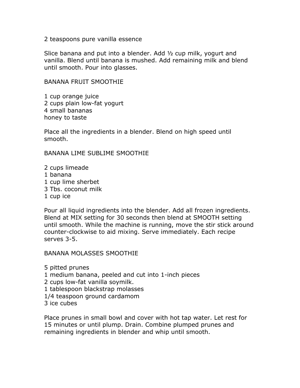2 teaspoons pure vanilla essence

Slice banana and put into a blender. Add ½ cup milk, yogurt and vanilla. Blend until banana is mushed. Add remaining milk and blend until smooth. Pour into glasses.

#### BANANA FRUIT SMOOTHIE

1 cup orange juice 2 cups plain low-fat yogurt 4 small bananas honey to taste

Place all the ingredients in a blender. Blend on high speed until smooth.

BANANA LIME SUBLIME SMOOTHIE

- 2 cups limeade
- 1 banana
- 1 cup lime sherbet
- 3 Tbs. coconut milk
- 1 cup ice

Pour all liquid ingredients into the blender. Add all frozen ingredients. Blend at MIX setting for 30 seconds then blend at SMOOTH setting until smooth. While the machine is running, move the stir stick around counter-clockwise to aid mixing. Serve immediately. Each recipe serves 3-5.

BANANA MOLASSES SMOOTHIE

5 pitted prunes

- 1 medium banana, peeled and cut into 1-inch pieces
- 2 cups low-fat vanilla soymilk.
- 1 tablespoon blackstrap molasses
- 1/4 teaspoon ground cardamom
- 3 ice cubes

Place prunes in small bowl and cover with hot tap water. Let rest for 15 minutes or until plump. Drain. Combine plumped prunes and remaining ingredients in blender and whip until smooth.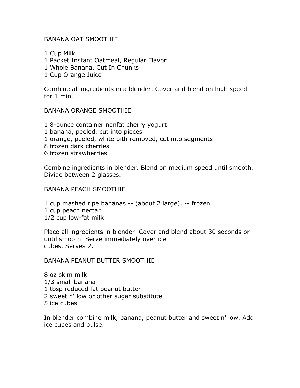#### BANANA OAT SMOOTHIE

- 1 Cup Milk
- 1 Packet Instant Oatmeal, Regular Flavor
- 1 Whole Banana, Cut In Chunks
- 1 Cup Orange Juice

Combine all ingredients in a blender. Cover and blend on high speed for 1 min.

#### BANANA ORANGE SMOOTHIE

- 1 8-ounce container nonfat cherry yogurt
- 1 banana, peeled, cut into pieces
- 1 orange, peeled, white pith removed, cut into segments
- 8 frozen dark cherries
- 6 frozen strawberries

Combine ingredients in blender. Blend on medium speed until smooth. Divide between 2 glasses.

#### BANANA PEACH SMOOTHIE

1 cup mashed ripe bananas -- (about 2 large), -- frozen 1 cup peach nectar 1/2 cup low-fat milk

Place all ingredients in blender. Cover and blend about 30 seconds or until smooth. Serve immediately over ice cubes. Serves 2.

BANANA PEANUT BUTTER SMOOTHIE

8 oz skim milk 1/3 small banana 1 tbsp reduced fat peanut butter 2 sweet n' low or other sugar substitute 5 ice cubes

In blender combine milk, banana, peanut butter and sweet n' low. Add ice cubes and pulse.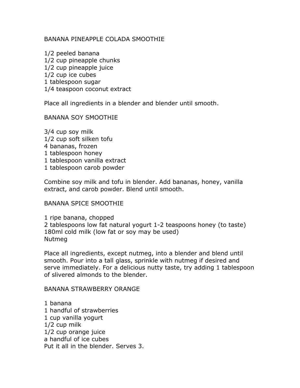#### BANANA PINEAPPLE COLADA SMOOTHIE

1/2 peeled banana 1/2 cup pineapple chunks 1/2 cup pineapple juice 1/2 cup ice cubes 1 tablespoon sugar 1/4 teaspoon coconut extract

Place all ingredients in a blender and blender until smooth.

#### BANANA SOY SMOOTHIE

3/4 cup soy milk 1/2 cup soft silken tofu 4 bananas, frozen 1 tablespoon honey 1 tablespoon vanilla extract 1 tablespoon carob powder

Combine soy milk and tofu in blender. Add bananas, honey, vanilla extract, and carob powder. Blend until smooth.

#### BANANA SPICE SMOOTHIE

1 ripe banana, chopped 2 tablespoons low fat natural yogurt 1-2 teaspoons honey (to taste) 180ml cold milk (low fat or soy may be used) Nutmeg

Place all ingredients, except nutmeg, into a blender and blend until smooth. Pour into a tall glass, sprinkle with nutmeg if desired and serve immediately. For a delicious nutty taste, try adding 1 tablespoon of slivered almonds to the blender.

#### BANANA STRAWBERRY ORANGE

1 banana 1 handful of strawberries 1 cup vanilla yogurt 1/2 cup milk 1/2 cup orange juice a handful of ice cubes Put it all in the blender. Serves 3.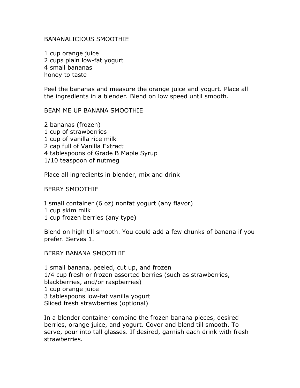#### BANANALICIOUS SMOOTHIE

1 cup orange juice 2 cups plain low-fat yogurt 4 small bananas honey to taste

Peel the bananas and measure the orange juice and yogurt. Place all the ingredients in a blender. Blend on low speed until smooth.

#### BEAM ME UP BANANA SMOOTHIE

2 bananas (frozen) 1 cup of strawberries 1 cup of vanilla rice milk 2 cap full of Vanilla Extract 4 tablespoons of Grade B Maple Syrup 1/10 teaspoon of nutmeg

Place all ingredients in blender, mix and drink

BERRY SMOOTHIE

I small container (6 oz) nonfat yogurt (any flavor)

1 cup skim milk

1 cup frozen berries (any type)

Blend on high till smooth. You could add a few chunks of banana if you prefer. Serves 1.

BERRY BANANA SMOOTHIE

1 small banana, peeled, cut up, and frozen 1/4 cup fresh or frozen assorted berries (such as strawberries, blackberries, and/or raspberries) 1 cup orange juice 3 tablespoons low-fat vanilla yogurt Sliced fresh strawberries (optional)

In a blender container combine the frozen banana pieces, desired berries, orange juice, and yogurt. Cover and blend till smooth. To serve, pour into tall glasses. If desired, garnish each drink with fresh strawberries.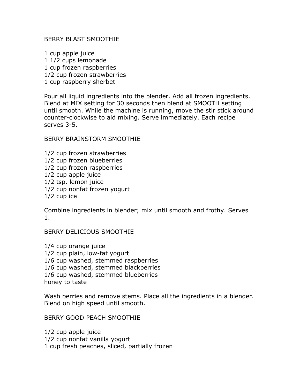#### BERRY BLAST SMOOTHIE

1 cup apple juice 1 1/2 cups lemonade 1 cup frozen raspberries 1/2 cup frozen strawberries 1 cup raspberry sherbet

Pour all liquid ingredients into the blender. Add all frozen ingredients. Blend at MIX setting for 30 seconds then blend at SMOOTH setting until smooth. While the machine is running, move the stir stick around counter-clockwise to aid mixing. Serve immediately. Each recipe serves 3-5.

BERRY BRAINSTORM SMOOTHIE

1/2 cup frozen strawberries 1/2 cup frozen blueberries 1/2 cup frozen raspberries 1/2 cup apple juice 1/2 tsp. lemon juice 1/2 cup nonfat frozen yogurt 1/2 cup ice

Combine ingredients in blender; mix until smooth and frothy. Serves 1.

BERRY DELICIOUS SMOOTHIE

1/4 cup orange juice 1/2 cup plain, low-fat yogurt 1/6 cup washed, stemmed raspberries 1/6 cup washed, stemmed blackberries 1/6 cup washed, stemmed blueberries honey to taste

Wash berries and remove stems. Place all the ingredients in a blender. Blend on high speed until smooth.

#### BERRY GOOD PEACH SMOOTHIE

1/2 cup apple juice 1/2 cup nonfat vanilla yogurt 1 cup fresh peaches, sliced, partially frozen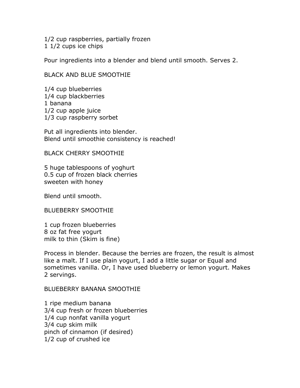1/2 cup raspberries, partially frozen 1 1/2 cups ice chips

Pour ingredients into a blender and blend until smooth. Serves 2.

#### BLACK AND BLUE SMOOTHIE

1/4 cup blueberries 1/4 cup blackberries 1 banana 1/2 cup apple juice 1/3 cup raspberry sorbet

Put all ingredients into blender. Blend until smoothie consistency is reached!

BLACK CHERRY SMOOTHIE

5 huge tablespoons of yoghurt 0.5 cup of frozen black cherries sweeten with honey

Blend until smooth.

BLUEBERRY SMOOTHIE

1 cup frozen blueberries 8 oz fat free yogurt milk to thin (Skim is fine)

Process in blender. Because the berries are frozen, the result is almost like a malt. If I use plain yogurt, I add a little sugar or Equal and sometimes vanilla. Or, I have used blueberry or lemon yogurt. Makes 2 servings.

BLUEBERRY BANANA SMOOTHIE

1 ripe medium banana 3/4 cup fresh or frozen blueberries 1/4 cup nonfat vanilla yogurt 3/4 cup skim milk pinch of cinnamon (if desired) 1/2 cup of crushed ice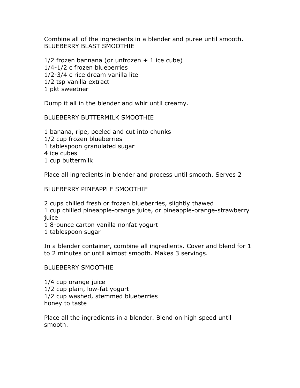Combine all of the ingredients in a blender and puree until smooth. BLUEBERRY BLAST SMOOTHIE

 $1/2$  frozen bannana (or unfrozen  $+1$  ice cube) 1/4-1/2 c frozen blueberries 1/2-3/4 c rice dream vanilla lite 1/2 tsp vanilla extract 1 pkt sweetner

Dump it all in the blender and whir until creamy.

BLUEBERRY BUTTERMILK SMOOTHIE

1 banana, ripe, peeled and cut into chunks 1/2 cup frozen blueberries 1 tablespoon granulated sugar 4 ice cubes 1 cup buttermilk

Place all ingredients in blender and process until smooth. Serves 2

BLUEBERRY PINEAPPLE SMOOTHIE

2 cups chilled fresh or frozen blueberries, slightly thawed

1 cup chilled pineapple-orange juice, or pineapple-orange-strawberry juice

1 8-ounce carton vanilla nonfat yogurt

1 tablespoon sugar

In a blender container, combine all ingredients. Cover and blend for 1 to 2 minutes or until almost smooth. Makes 3 servings.

#### BLUEBERRY SMOOTHIE

1/4 cup orange juice 1/2 cup plain, low-fat yogurt 1/2 cup washed, stemmed blueberries honey to taste

Place all the ingredients in a blender. Blend on high speed until smooth.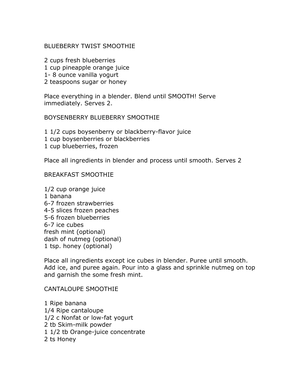#### BLUEBERRY TWIST SMOOTHIE

- 2 cups fresh blueberries
- 1 cup pineapple orange juice
- 1- 8 ounce vanilla yogurt
- 2 teaspoons sugar or honey

Place everything in a blender. Blend until SMOOTH! Serve immediately. Serves 2.

#### BOYSENBERRY BLUEBERRY SMOOTHIE

- 1 1/2 cups boysenberry or blackberry-flavor juice
- 1 cup boysenberries or blackberries
- 1 cup blueberries, frozen

Place all ingredients in blender and process until smooth. Serves 2

#### BREAKFAST SMOOTHIE

1/2 cup orange juice 1 banana 6-7 frozen strawberries 4-5 slices frozen peaches 5-6 frozen blueberries 6-7 ice cubes fresh mint (optional) dash of nutmeg (optional) 1 tsp. honey (optional)

Place all ingredients except ice cubes in blender. Puree until smooth. Add ice, and puree again. Pour into a glass and sprinkle nutmeg on top and garnish the some fresh mint.

#### CANTALOUPE SMOOTHIE

1 Ripe banana 1/4 Ripe cantaloupe 1/2 c Nonfat or low-fat yogurt 2 tb Skim-milk powder 1 1/2 tb Orange-juice concentrate 2 ts Honey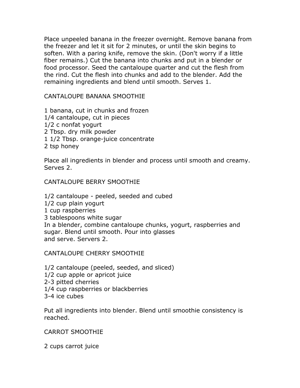Place unpeeled banana in the freezer overnight. Remove banana from the freezer and let it sit for 2 minutes, or until the skin begins to soften. With a paring knife, remove the skin. (Don't worry if a little fiber remains.) Cut the banana into chunks and put in a blender or food processor. Seed the cantaloupe quarter and cut the flesh from the rind. Cut the flesh into chunks and add to the blender. Add the remaining ingredients and blend until smooth. Serves 1.

CANTALOUPE BANANA SMOOTHIE

1 banana, cut in chunks and frozen 1/4 cantaloupe, cut in pieces 1/2 c nonfat yogurt 2 Tbsp. dry milk powder 1 1/2 Tbsp. orange-juice concentrate 2 tsp honey

Place all ingredients in blender and process until smooth and creamy. Serves 2.

CANTALOUPE BERRY SMOOTHIE

1/2 cantaloupe - peeled, seeded and cubed 1/2 cup plain yogurt 1 cup raspberries 3 tablespoons white sugar In a blender, combine cantaloupe chunks, yogurt, raspberries and sugar. Blend until smooth. Pour into glasses and serve. Servers 2.

CANTALOUPE CHERRY SMOOTHIE

1/2 cantaloupe (peeled, seeded, and sliced)

- 1/2 cup apple or apricot juice
- 2-3 pitted cherries
- 1/4 cup raspberries or blackberries
- 3-4 ice cubes

Put all ingredients into blender. Blend until smoothie consistency is reached.

CARROT SMOOTHIE

2 cups carrot juice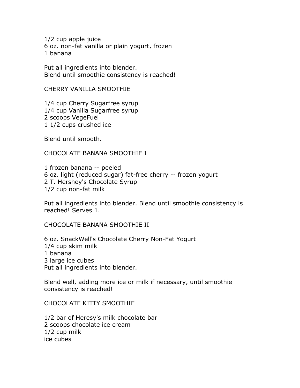1/2 cup apple juice 6 oz. non-fat vanilla or plain yogurt, frozen 1 banana

Put all ingredients into blender. Blend until smoothie consistency is reached!

CHERRY VANILLA SMOOTHIE

1/4 cup Cherry Sugarfree syrup 1/4 cup Vanilla Sugarfree syrup 2 scoops VegeFuel 1 1/2 cups crushed ice

Blend until smooth.

CHOCOLATE BANANA SMOOTHIE I

1 frozen banana -- peeled 6 oz. light (reduced sugar) fat-free cherry -- frozen yogurt 2 T. Hershey's Chocolate Syrup 1/2 cup non-fat milk

Put all ingredients into blender. Blend until smoothie consistency is reached! Serves 1.

CHOCOLATE BANANA SMOOTHIE II

6 oz. SnackWell's Chocolate Cherry Non-Fat Yogurt 1/4 cup skim milk 1 banana 3 large ice cubes Put all ingredients into blender.

Blend well, adding more ice or milk if necessary, until smoothie consistency is reached!

CHOCOLATE KITTY SMOOTHIE

1/2 bar of Heresy's milk chocolate bar 2 scoops chocolate ice cream 1/2 cup milk ice cubes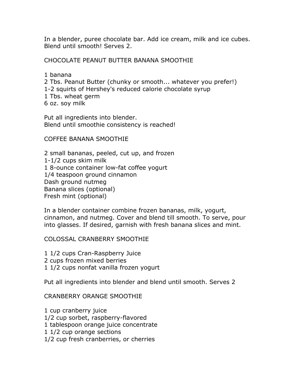In a blender, puree chocolate bar. Add ice cream, milk and ice cubes. Blend until smooth! Serves 2.

CHOCOLATE PEANUT BUTTER BANANA SMOOTHIE

- 1 banana
- 2 Tbs. Peanut Butter (chunky or smooth... whatever you prefer!)
- 1-2 squirts of Hershey's reduced calorie chocolate syrup
- 1 Tbs. wheat germ
- 6 oz. soy milk

Put all ingredients into blender. Blend until smoothie consistency is reached!

COFFEE BANANA SMOOTHIE

2 small bananas, peeled, cut up, and frozen 1-1/2 cups skim milk 1 8-ounce container low-fat coffee yogurt 1/4 teaspoon ground cinnamon Dash ground nutmeg Banana slices (optional) Fresh mint (optional)

In a blender container combine frozen bananas, milk, yogurt, cinnamon, and nutmeg. Cover and blend till smooth. To serve, pour into glasses. If desired, garnish with fresh banana slices and mint.

### COLOSSAL CRANBERRY SMOOTHIE

- 1 1/2 cups Cran-Raspberry Juice
- 2 cups frozen mixed berries
- 1 1/2 cups nonfat vanilla frozen yogurt

Put all ingredients into blender and blend until smooth. Serves 2

#### CRANBERRY ORANGE SMOOTHIE

- 1 cup cranberry juice
- 1/2 cup sorbet, raspberry-flavored
- 1 tablespoon orange juice concentrate
- 1 1/2 cup orange sections
- 1/2 cup fresh cranberries, or cherries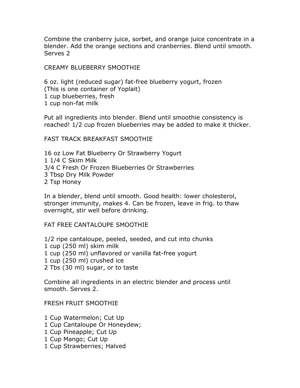Combine the cranberry juice, sorbet, and orange juice concentrate in a blender. Add the orange sections and cranberries. Blend until smooth. Serves 2

CREAMY BLUEBERRY SMOOTHIE

6 oz. light (reduced sugar) fat-free blueberry yogurt, frozen (This is one container of Yoplait) 1 cup blueberries, fresh 1 cup non-fat milk

Put all ingredients into blender. Blend until smoothie consistency is reached! 1/2 cup frozen blueberries may be added to make it thicker.

FAST TRACK BREAKFAST SMOOTHIE

16 oz Low Fat Blueberry Or Strawberry Yogurt 1 1/4 C Skim Milk 3/4 C Fresh Or Frozen Blueberries Or Strawberries 3 Tbsp Dry Milk Powder 2 Tsp Honey

In a blender, blend until smooth. Good health: lower cholesterol, stronger immunity, makes 4. Can be frozen, leave in frig. to thaw overnight, stir well before drinking.

#### FAT FREE CANTALOUPE SMOOTHIE

1/2 ripe cantaloupe, peeled, seeded, and cut into chunks 1 cup (250 ml) skim milk 1 cup (250 ml) unflavored or vanilla fat-free yogurt 1 cup (250 ml) crushed ice 2 Tbs (30 ml) sugar, or to taste

Combine all ingredients in an electric blender and process until smooth. Serves 2.

FRESH FRUIT SMOOTHIE

- 1 Cup Watermelon; Cut Up
- 1 Cup Cantaloupe Or Honeydew;
- 1 Cup Pineapple; Cut Up
- 1 Cup Mango; Cut Up
- 1 Cup Strawberries; Halved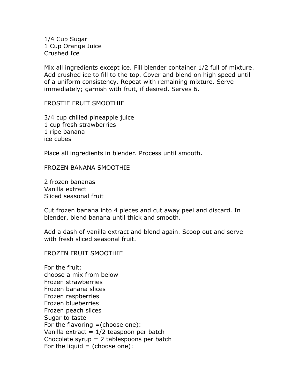1/4 Cup Sugar 1 Cup Orange Juice Crushed Ice

Mix all ingredients except ice. Fill blender container 1/2 full of mixture. Add crushed ice to fill to the top. Cover and blend on high speed until of a uniform consistency. Repeat with remaining mixture. Serve immediately; garnish with fruit, if desired. Serves 6.

FROSTIE FRUIT SMOOTHIE

3/4 cup chilled pineapple juice 1 cup fresh strawberries 1 ripe banana ice cubes

Place all ingredients in blender. Process until smooth.

FROZEN BANANA SMOOTHIE

2 frozen bananas Vanilla extract Sliced seasonal fruit

Cut frozen banana into 4 pieces and cut away peel and discard. In blender, blend banana until thick and smooth.

Add a dash of vanilla extract and blend again. Scoop out and serve with fresh sliced seasonal fruit.

#### FROZEN FRUIT SMOOTHIE

For the fruit: choose a mix from below Frozen strawberries Frozen banana slices Frozen raspberries Frozen blueberries Frozen peach slices Sugar to taste For the flavoring =(choose one): Vanilla extract =  $1/2$  teaspoon per batch Chocolate syrup  $= 2$  tablespoons per batch For the liquid  $=$  (choose one):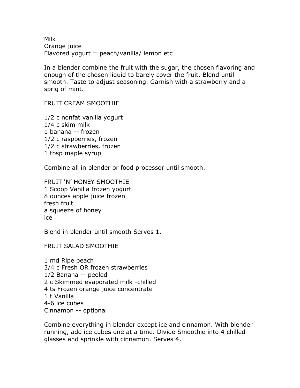Milk Orange juice Flavored yogurt =  $peach/vanilla/$  lemon etc

In a blender combine the fruit with the sugar, the chosen flavoring and enough of the chosen liquid to barely cover the fruit. Blend until smooth. Taste to adjust seasoning. Garnish with a strawberry and a sprig of mint.

FRUIT CREAM SMOOTHIE

1/2 c nonfat vanilla yogurt 1/4 c skim milk 1 banana -- frozen 1/2 c raspberries, frozen 1/2 c strawberries, frozen 1 tbsp maple syrup

Combine all in blender or food processor until smooth.

FRUIT 'N' HONEY SMOOTHIE 1 Scoop Vanilla frozen yogurt 8 ounces apple juice frozen fresh fruit a squeeze of honey ice

Blend in blender until smooth Serves 1.

FRUIT SALAD SMOOTHIE

1 md Ripe peach 3/4 c Fresh OR frozen strawberries 1/2 Banana -- peeled 2 c Skimmed evaporated milk -chilled 4 ts Frozen orange juice concentrate 1 t Vanilla 4-6 ice cubes Cinnamon -- optional

Combine everything in blender except ice and cinnamon. With blender running, add ice cubes one at a time. Divide Smoothie into 4 chilled glasses and sprinkle with cinnamon. Serves 4.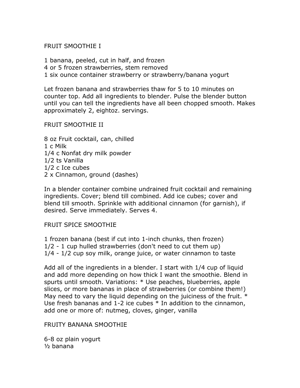FRUIT SMOOTHIE I

1 banana, peeled, cut in half, and frozen

4 or 5 frozen strawberries, stem removed

1 six ounce container strawberry or strawberry/banana yogurt

Let frozen banana and strawberries thaw for 5 to 10 minutes on counter top. Add all ingredients to blender. Pulse the blender button until you can tell the ingredients have all been chopped smooth. Makes approximately 2, eightoz. servings.

#### FRUIT SMOOTHIE II

8 oz Fruit cocktail, can, chilled 1 c Milk 1/4 c Nonfat dry milk powder 1/2 ts Vanilla 1/2 c Ice cubes 2 x Cinnamon, ground (dashes)

In a blender container combine undrained fruit cocktail and remaining ingredients. Cover; blend till combined. Add ice cubes; cover and blend till smooth. Sprinkle with additional cinnamon (for garnish), if desired. Serve immediately. Serves 4.

#### FRUIT SPICE SMOOTHIE

1 frozen banana (best if cut into 1-inch chunks, then frozen) 1/2 - 1 cup hulled strawberries (don't need to cut them up) 1/4 - 1/2 cup soy milk, orange juice, or water cinnamon to taste

Add all of the ingredients in a blender. I start with 1/4 cup of liquid and add more depending on how thick I want the smoothie. Blend in spurts until smooth. Variations: \* Use peaches, blueberries, apple slices, or more bananas in place of strawberries (or combine them!) May need to vary the liquid depending on the juiciness of the fruit.  $*$ Use fresh bananas and 1-2 ice cubes \* In addition to the cinnamon, add one or more of: nutmeg, cloves, ginger, vanilla

FRUITY BANANA SMOOTHIE

6-8 oz plain yogurt ½ banana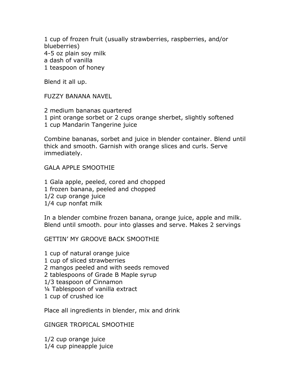1 cup of frozen fruit (usually strawberries, raspberries, and/or blueberries) 4-5 oz plain soy milk a dash of vanilla 1 teaspoon of honey

Blend it all up.

FUZZY BANANA NAVEL

2 medium bananas quartered 1 pint orange sorbet or 2 cups orange sherbet, slightly softened 1 cup Mandarin Tangerine juice

Combine bananas, sorbet and juice in blender container. Blend until thick and smooth. Garnish with orange slices and curls. Serve immediately.

GALA APPLE SMOOTHIE

1 Gala apple, peeled, cored and chopped 1 frozen banana, peeled and chopped 1/2 cup orange juice 1/4 cup nonfat milk

In a blender combine frozen banana, orange juice, apple and milk. Blend until smooth. pour into glasses and serve. Makes 2 servings

GETTIN' MY GROOVE BACK SMOOTHIE

1 cup of natural orange juice 1 cup of sliced strawberries 2 mangos peeled and with seeds removed 2 tablespoons of Grade B Maple syrup 1/3 teaspoon of Cinnamon ¼ Tablespoon of vanilla extract 1 cup of crushed ice

Place all ingredients in blender, mix and drink

GINGER TROPICAL SMOOTHIE

1/2 cup orange juice 1/4 cup pineapple juice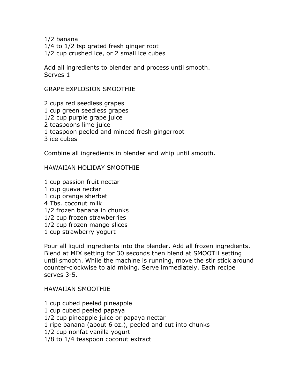1/2 banana 1/4 to 1/2 tsp grated fresh ginger root 1/2 cup crushed ice, or 2 small ice cubes

Add all ingredients to blender and process until smooth. Serves 1

GRAPE EXPLOSION SMOOTHIE

2 cups red seedless grapes 1 cup green seedless grapes 1/2 cup purple grape juice 2 teaspoons lime juice

- 1 teaspoon peeled and minced fresh gingerroot
- 3 ice cubes

Combine all ingredients in blender and whip until smooth.

HAWAIIAN HOLIDAY SMOOTHIE

- 1 cup passion fruit nectar
- 1 cup guava nectar
- 1 cup orange sherbet
- 4 Tbs. coconut milk
- 1/2 frozen banana in chunks
- 1/2 cup frozen strawberries
- 1/2 cup frozen mango slices
- 1 cup strawberry yogurt

Pour all liquid ingredients into the blender. Add all frozen ingredients. Blend at MIX setting for 30 seconds then blend at SMOOTH setting until smooth. While the machine is running, move the stir stick around counter-clockwise to aid mixing. Serve immediately. Each recipe serves 3-5.

#### HAWAIIAN SMOOTHIE

- 1 cup cubed peeled pineapple
- 1 cup cubed peeled papaya
- 1/2 cup pineapple juice or papaya nectar
- 1 ripe banana (about 6 oz.), peeled and cut into chunks
- 1/2 cup nonfat vanilla yogurt
- 1/8 to 1/4 teaspoon coconut extract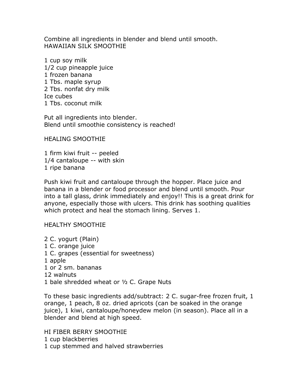Combine all ingredients in blender and blend until smooth. HAWAIIAN SILK SMOOTHIE

1 cup soy milk 1/2 cup pineapple juice 1 frozen banana 1 Tbs. maple syrup 2 Tbs. nonfat dry milk Ice cubes 1 Tbs. coconut milk

Put all ingredients into blender. Blend until smoothie consistency is reached!

HEALING SMOOTHIE

1 firm kiwi fruit -- peeled 1/4 cantaloupe -- with skin 1 ripe banana

Push kiwi fruit and cantaloupe through the hopper. Place juice and banana in a blender or food processor and blend until smooth. Pour into a tall glass, drink immediately and enjoy!! This is a great drink for anyone, especially those with ulcers. This drink has soothing qualities which protect and heal the stomach lining. Serves 1.

HEALTHY SMOOTHIE

2 C. yogurt (Plain) 1 C. orange juice 1 C. grapes (essential for sweetness) 1 apple 1 or 2 sm. bananas 12 walnuts 1 bale shredded wheat or ½ C. Grape Nuts

To these basic ingredients add/subtract: 2 C. sugar-free frozen fruit, 1 orange, 1 peach, 8 oz. dried apricots (can be soaked in the orange juice), 1 kiwi, cantaloupe/honeydew melon (in season). Place all in a blender and blend at high speed.

HI FIBER BERRY SMOOTHIE

- 1 cup blackberries
- 1 cup stemmed and halved strawberries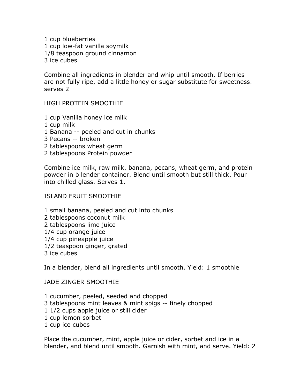1 cup blueberries 1 cup low-fat vanilla soymilk 1/8 teaspoon ground cinnamon 3 ice cubes

Combine all ingredients in blender and whip until smooth. If berries are not fully ripe, add a little honey or sugar substitute for sweetness. serves 2

HIGH PROTEIN SMOOTHIE

- 1 cup Vanilla honey ice milk
- 1 cup milk
- 1 Banana -- peeled and cut in chunks
- 3 Pecans -- broken
- 2 tablespoons wheat germ
- 2 tablespoons Protein powder

Combine ice milk, raw milk, banana, pecans, wheat germ, and protein powder in b lender container. Blend until smooth but still thick. Pour into chilled glass. Serves 1.

#### ISLAND FRUIT SMOOTHIE

1 small banana, peeled and cut into chunks 2 tablespoons coconut milk 2 tablespoons lime juice 1/4 cup orange juice 1/4 cup pineapple juice 1/2 teaspoon ginger, grated 3 ice cubes

In a blender, blend all ingredients until smooth. Yield: 1 smoothie

#### JADE ZINGER SMOOTHIE

1 cucumber, peeled, seeded and chopped 3 tablespoons mint leaves & mint spigs -- finely chopped 1 1/2 cups apple juice or still cider 1 cup lemon sorbet 1 cup ice cubes

Place the cucumber, mint, apple juice or cider, sorbet and ice in a blender, and blend until smooth. Garnish with mint, and serve. Yield: 2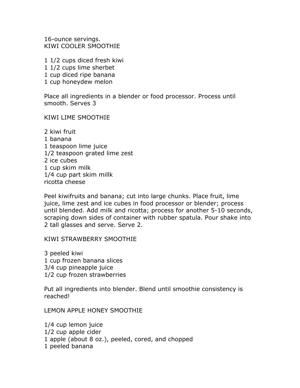16-ounce servings. KIWI COOLER SMOOTHIE

1 1/2 cups diced fresh kiwi

1 1/2 cups lime sherbet

1 cup diced ripe banana

1 cup honeydew melon

Place all ingredients in a blender or food processor. Process until smooth. Serves 3

KIWI LIME SMOOTHIE

2 kiwi fruit 1 banana 1 teaspoon lime juice 1/2 teaspoon grated lime zest 2 ice cubes 1 cup skim milk 1/4 cup part skim millk ricotta cheese

Peel kiwifruits and banana; cut into large chunks. Place fruit, lime juice, lime zest and ice cubes in food processor or blender; process until blended. Add milk and ricotta; process for another 5-10 seconds, scraping down sides of container with rubber spatula. Pour shake into 2 tall glasses and serve. Serve 2.

KIWI STRAWBERRY SMOOTHIE

3 peeled kiwi 1 cup frozen banana slices 3/4 cup pineapple juice 1/2 cup frozen strawberries

Put all ingredients into blender. Blend until smoothie consistency is reached!

LEMON APPLE HONEY SMOOTHIE

1/4 cup lemon juice 1/2 cup apple cider 1 apple (about 8 oz.), peeled, cored, and chopped 1 peeled banana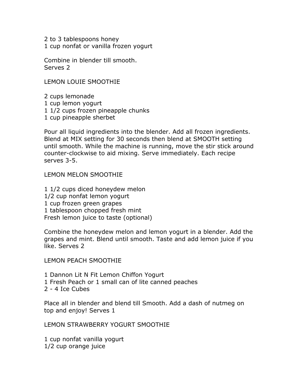2 to 3 tablespoons honey 1 cup nonfat or vanilla frozen yogurt

Combine in blender till smooth. Serves 2

LEMON LOUIE SMOOTHIE

2 cups lemonade

- 1 cup lemon yogurt
- 1 1/2 cups frozen pineapple chunks
- 1 cup pineapple sherbet

Pour all liquid ingredients into the blender. Add all frozen ingredients. Blend at MIX setting for 30 seconds then blend at SMOOTH setting until smooth. While the machine is running, move the stir stick around counter-clockwise to aid mixing. Serve immediately. Each recipe serves 3-5.

#### LEMON MELON SMOOTHIE

1 1/2 cups diced honeydew melon 1/2 cup nonfat lemon yogurt 1 cup frozen green grapes 1 tablespoon chopped fresh mint Fresh lemon juice to taste (optional)

Combine the honeydew melon and lemon yogurt in a blender. Add the grapes and mint. Blend until smooth. Taste and add lemon juice if you like. Serves 2

LEMON PEACH SMOOTHIE

- 1 Dannon Lit N Fit Lemon Chiffon Yogurt
- 1 Fresh Peach or 1 small can of lite canned peaches
- 2 4 Ice Cubes

Place all in blender and blend till Smooth. Add a dash of nutmeg on top and enjoy! Serves 1

LEMON STRAWBERRY YOGURT SMOOTHIE

1 cup nonfat vanilla yogurt 1/2 cup orange juice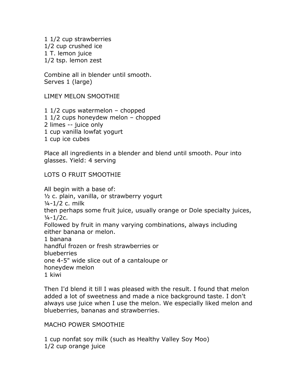1 1/2 cup strawberries 1/2 cup crushed ice 1 T. lemon juice 1/2 tsp. lemon zest

Combine all in blender until smooth. Serves 1 (large)

LIMEY MELON SMOOTHIE

1 1/2 cups watermelon – chopped 1 1/2 cups honeydew melon – chopped 2 limes -- juice only 1 cup vanilla lowfat yogurt 1 cup ice cubes

Place all ingredients in a blender and blend until smooth. Pour into glasses. Yield: 4 serving

#### LOTS O FRUIT SMOOTHIE

All begin with a base of: ½ c. plain, vanilla, or strawberry yogurt ¼-1/2 c. milk then perhaps some fruit juice, usually orange or Dole specialty juices,  $\frac{1}{4} - \frac{1}{2c}$ . Followed by fruit in many varying combinations, always including either banana or melon. 1 banana handful frozen or fresh strawberries or blueberries one 4-5" wide slice out of a cantaloupe or honeydew melon 1 kiwi

Then I'd blend it till I was pleased with the result. I found that melon added a lot of sweetness and made a nice background taste. I don't always use juice when I use the melon. We especially liked melon and blueberries, bananas and strawberries.

#### MACHO POWER SMOOTHIE

1 cup nonfat soy milk (such as Healthy Valley Soy Moo) 1/2 cup orange juice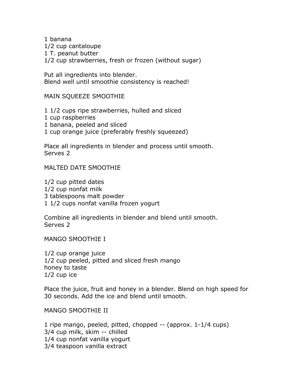1 banana

1/2 cup cantaloupe

1 T. peanut butter

1/2 cup strawberries, fresh or frozen (without sugar)

Put all ingredients into blender. Blend well until smoothie consistency is reached!

MAIN SQUEEZE SMOOTHIE

1 1/2 cups ripe strawberries, hulled and sliced

- 1 cup raspberries
- 1 banana, peeled and sliced
- 1 cup orange juice (preferably freshly squeezed)

Place all ingredients in blender and process until smooth. Serves 2

MALTED DATE SMOOTHIE

1/2 cup pitted dates 1/2 cup nonfat milk 3 tablespoons malt powder 1 1/2 cups nonfat vanilla frozen yogurt

Combine all ingredients in blender and blend until smooth. Serves 2

MANGO SMOOTHIE I

1/2 cup orange juice 1/2 cup peeled, pitted and sliced fresh mango honey to taste 1/2 cup ice

Place the juice, fruit and honey in a blender. Blend on high speed for 30 seconds. Add the ice and blend until smooth.

MANGO SMOOTHIE II

1 ripe mango, peeled, pitted, chopped -- (approx. 1-1/4 cups) 3/4 cup milk, skim -- chilled 1/4 cup nonfat vanilla yogurt 3/4 teaspoon vanilla extract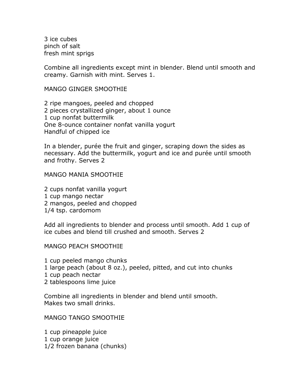3 ice cubes pinch of salt fresh mint sprigs

Combine all ingredients except mint in blender. Blend until smooth and creamy. Garnish with mint. Serves 1.

MANGO GINGER SMOOTHIE

2 ripe mangoes, peeled and chopped 2 pieces crystallized ginger, about 1 ounce 1 cup nonfat buttermilk One 8-ounce container nonfat vanilla yogurt Handful of chipped ice

In a blender, purée the fruit and ginger, scraping down the sides as necessary. Add the buttermilk, yogurt and ice and purée until smooth and frothy. Serves 2

#### MANGO MANIA SMOOTHIE

2 cups nonfat vanilla yogurt 1 cup mango nectar 2 mangos, peeled and chopped 1/4 tsp. cardomom

Add all ingredients to blender and process until smooth. Add 1 cup of ice cubes and blend till crushed and smooth. Serves 2

MANGO PEACH SMOOTHIE

1 cup peeled mango chunks

- 1 large peach (about 8 oz.), peeled, pitted, and cut into chunks
- 1 cup peach nectar
- 2 tablespoons lime juice

Combine all ingredients in blender and blend until smooth. Makes two small drinks.

MANGO TANGO SMOOTHIE

1 cup pineapple juice 1 cup orange juice 1/2 frozen banana (chunks)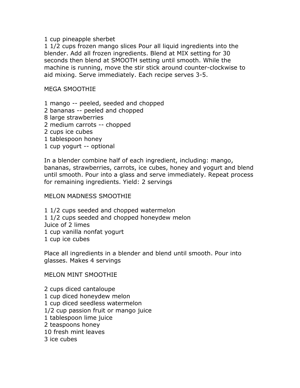#### 1 cup pineapple sherbet

1 1/2 cups frozen mango slices Pour all liquid ingredients into the blender. Add all frozen ingredients. Blend at MIX setting for 30 seconds then blend at SMOOTH setting until smooth. While the machine is running, move the stir stick around counter-clockwise to aid mixing. Serve immediately. Each recipe serves 3-5.

#### MEGA SMOOTHIE

- 1 mango -- peeled, seeded and chopped
- 2 bananas -- peeled and chopped
- 8 large strawberries
- 2 medium carrots -- chopped
- 2 cups ice cubes
- 1 tablespoon honey
- 1 cup yogurt -- optional

In a blender combine half of each ingredient, including: mango, bananas, strawberries, carrots, ice cubes, honey and yogurt and blend until smooth. Pour into a glass and serve immediately. Repeat process for remaining ingredients. Yield: 2 servings

#### MELON MADNESS SMOOTHIE

1 1/2 cups seeded and chopped watermelon 1 1/2 cups seeded and chopped honeydew melon Juice of 2 limes 1 cup vanilla nonfat yogurt 1 cup ice cubes

Place all ingredients in a blender and blend until smooth. Pour into glasses. Makes 4 servings

MELON MINT SMOOTHIE

2 cups diced cantaloupe 1 cup diced honeydew melon 1 cup diced seedless watermelon 1/2 cup passion fruit or mango juice 1 tablespoon lime juice 2 teaspoons honey 10 fresh mint leaves 3 ice cubes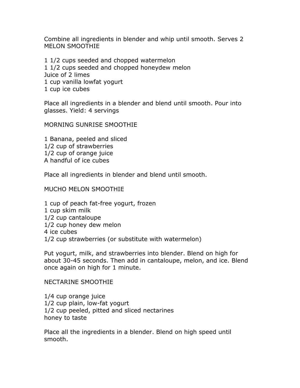Combine all ingredients in blender and whip until smooth. Serves 2 MELON SMOOTHIE

1 1/2 cups seeded and chopped watermelon 1 1/2 cups seeded and chopped honeydew melon Juice of 2 limes 1 cup vanilla lowfat yogurt 1 cup ice cubes

Place all ingredients in a blender and blend until smooth. Pour into glasses. Yield: 4 servings

MORNING SUNRISE SMOOTHIE

1 Banana, peeled and sliced 1/2 cup of strawberries 1/2 cup of orange juice A handful of ice cubes

Place all ingredients in blender and blend until smooth.

MUCHO MELON SMOOTHIE

1 cup of peach fat-free yogurt, frozen 1 cup skim milk 1/2 cup cantaloupe 1/2 cup honey dew melon 4 ice cubes 1/2 cup strawberries (or substitute with watermelon)

Put yogurt, milk, and strawberries into blender. Blend on high for about 30-45 seconds. Then add in cantaloupe, melon, and ice. Blend once again on high for 1 minute.

NECTARINE SMOOTHIE

1/4 cup orange juice 1/2 cup plain, low-fat yogurt 1/2 cup peeled, pitted and sliced nectarines honey to taste

Place all the ingredients in a blender. Blend on high speed until smooth.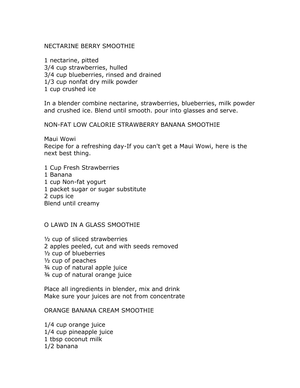#### NECTARINE BERRY SMOOTHIE

1 nectarine, pitted 3/4 cup strawberries, hulled 3/4 cup blueberries, rinsed and drained 1/3 cup nonfat dry milk powder 1 cup crushed ice

In a blender combine nectarine, strawberries, blueberries, milk powder and crushed ice. Blend until smooth. pour into glasses and serve.

NON-FAT LOW CALORIE STRAWBERRY BANANA SMOOTHIE

Maui Wowi

Recipe for a refreshing day-If you can't get a Maui Wowi, here is the next best thing.

- 1 Cup Fresh Strawberries
- 1 Banana
- 1 cup Non-fat yogurt
- 1 packet sugar or sugar substitute
- 2 cups ice

Blend until creamy

#### O LAWD IN A GLASS SMOOTHIE

½ cup of sliced strawberries 2 apples peeled, cut and with seeds removed ½ cup of blueberries ½ cup of peaches ¾ cup of natural apple juice ¾ cup of natural orange juice

Place all ingredients in blender, mix and drink Make sure your juices are not from concentrate

#### ORANGE BANANA CREAM SMOOTHIE

1/4 cup orange juice 1/4 cup pineapple juice 1 tbsp coconut milk 1/2 banana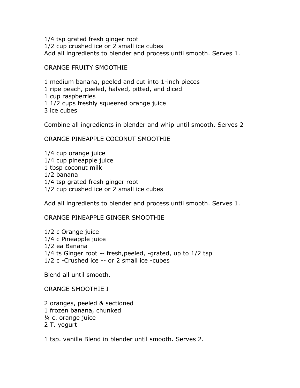1/4 tsp grated fresh ginger root 1/2 cup crushed ice or 2 small ice cubes Add all ingredients to blender and process until smooth. Serves 1.

#### ORANGE FRUITY SMOOTHIE

1 medium banana, peeled and cut into 1-inch pieces

1 ripe peach, peeled, halved, pitted, and diced

- 1 cup raspberries
- 1 1/2 cups freshly squeezed orange juice
- 3 ice cubes

Combine all ingredients in blender and whip until smooth. Serves 2

ORANGE PINEAPPLE COCONUT SMOOTHIE

1/4 cup orange juice 1/4 cup pineapple juice 1 tbsp coconut milk 1/2 banana 1/4 tsp grated fresh ginger root 1/2 cup crushed ice or 2 small ice cubes

Add all ingredients to blender and process until smooth. Serves 1.

ORANGE PINEAPPLE GINGER SMOOTHIE

1/2 c Orange juice 1/4 c Pineapple juice 1/2 ea Banana 1/4 ts Ginger root -- fresh,peeled, -grated, up to 1/2 tsp 1/2 c -Crushed ice -- or 2 small ice -cubes

Blend all until smooth.

ORANGE SMOOTHIE I

2 oranges, peeled & sectioned 1 frozen banana, chunked ¼ c. orange juice 2 T. yogurt

1 tsp. vanilla Blend in blender until smooth. Serves 2.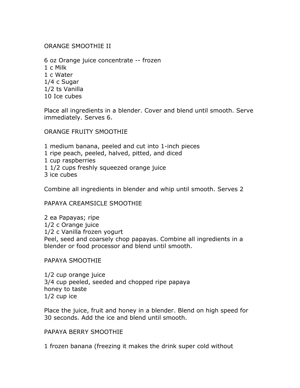#### ORANGE SMOOTHIE II

6 oz Orange juice concentrate -- frozen 1 c Milk 1 c Water 1/4 c Sugar 1/2 ts Vanilla 10 Ice cubes

Place all ingredients in a blender. Cover and blend until smooth. Serve immediately. Serves 6.

#### ORANGE FRUITY SMOOTHIE

- 1 medium banana, peeled and cut into 1-inch pieces
- 1 ripe peach, peeled, halved, pitted, and diced
- 1 cup raspberries
- 1 1/2 cups freshly squeezed orange juice
- 3 ice cubes

Combine all ingredients in blender and whip until smooth. Serves 2

#### PAPAYA CREAMSICLE SMOOTHIE

2 ea Papayas; ripe 1/2 c Orange juice 1/2 c Vanilla frozen yogurt Peel, seed and coarsely chop papayas. Combine all ingredients in a blender or food processor and blend until smooth.

#### PAPAYA SMOOTHIE

1/2 cup orange juice 3/4 cup peeled, seeded and chopped ripe papaya honey to taste 1/2 cup ice

Place the juice, fruit and honey in a blender. Blend on high speed for 30 seconds. Add the ice and blend until smooth.

#### PAPAYA BERRY SMOOTHIE

1 frozen banana (freezing it makes the drink super cold without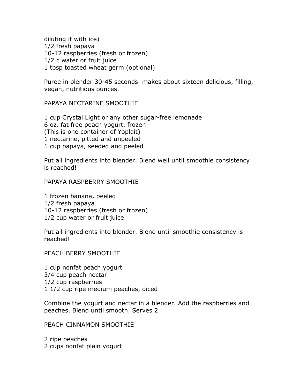diluting it with ice) 1/2 fresh papaya 10-12 raspberries (fresh or frozen) 1/2 c water or fruit juice 1 tbsp toasted wheat germ (optional)

Puree in blender 30-45 seconds. makes about sixteen delicious, filling, vegan, nutritious ounces.

PAPAYA NECTARINE SMOOTHIE

1 cup Crystal Light or any other sugar-free lemonade 6 oz. fat free peach yogurt, frozen (This is one container of Yoplait) 1 nectarine, pitted and unpeeled 1 cup papaya, seeded and peeled

Put all ingredients into blender. Blend well until smoothie consistency is reached!

PAPAYA RASPBERRY SMOOTHIE

1 frozen banana, peeled 1/2 fresh papaya 10-12 raspberries (fresh or frozen) 1/2 cup water or fruit juice

Put all ingredients into blender. Blend until smoothie consistency is reached!

PEACH BERRY SMOOTHIE

1 cup nonfat peach yogurt 3/4 cup peach nectar 1/2 cup raspberries 1 1/2 cup ripe medium peaches, diced

Combine the yogurt and nectar in a blender. Add the raspberries and peaches. Blend until smooth. Serves 2

PEACH CINNAMON SMOOTHIE

2 ripe peaches 2 cups nonfat plain yogurt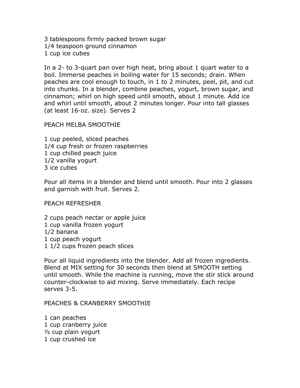3 tablespoons firmly packed brown sugar 1/4 teaspoon ground cinnamon 1 cup ice cubes

In a 2- to 3-quart pan over high heat, bring about 1 quart water to a boil. Immerse peaches in boiling water for 15 seconds; drain. When peaches are cool enough to touch, in 1 to 2 minutes, peel, pit, and cut into chunks. In a blender, combine peaches, yogurt, brown sugar, and cinnamon; whirl on high speed until smooth, about 1 minute. Add ice and whirl until smooth, about 2 minutes longer. Pour into tall glasses (at least 16-oz. size). Serves 2

PEACH MELBA SMOOTHIE

1 cup peeled, sliced peaches 1/4 cup fresh or frozen raspberries 1 cup chilled peach juice 1/2 vanilla yogurt 3 ice cubes

Pour all items in a blender and blend until smooth. Pour into 2 glasses and garnish with fruit. Serves 2.

PEACH REFRESHER

2 cups peach nectar or apple juice 1 cup vanilla frozen yogurt 1/2 banana 1 cup peach yogurt 1 1/2 cups frozen peach slices

Pour all liquid ingredients into the blender. Add all frozen ingredients. Blend at MIX setting for 30 seconds then blend at SMOOTH setting until smooth. While the machine is running, move the stir stick around counter-clockwise to aid mixing. Serve immediately. Each recipe serves 3-5.

PEACHES & CRANBERRY SMOOTHIE

1 can peaches 1 cup cranberry juice ½ cup plain yogurt 1 cup crushed ice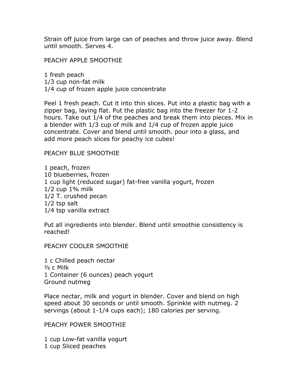Strain off juice from large can of peaches and throw juice away. Blend until smooth. Serves 4.

PEACHY APPLE SMOOTHIE

1 fresh peach 1/3 cup non-fat milk 1/4 cup of frozen apple juice concentrate

Peel 1 fresh peach. Cut it into thin slices. Put into a plastic bag with a zipper bag, laying flat. Put the plastic bag into the freezer for 1-2 hours. Take out 1/4 of the peaches and break them into pieces. Mix in a blender with 1/3 cup of milk and 1/4 cup of frozen apple juice concentrate. Cover and blend until smooth. pour into a glass, and add more peach slices for peachy ice cubes!

#### PEACHY BLUE SMOOTHIE

1 peach, frozen 10 blueberries, frozen 1 cup light (reduced sugar) fat-free vanilla yogurt, frozen 1/2 cup 1% milk 1/2 T. crushed pecan 1/2 tsp salt 1/4 tsp vanilla extract

Put all ingredients into blender. Blend until smoothie consistency is reached!

PEACHY COOLER SMOOTHIE

1 c Chilled peach nectar ½ c Milk 1 Container (6 ounces) peach yogurt Ground nutmeg

Place nectar, milk and yogurt in blender. Cover and blend on high speed about 30 seconds or until smooth. Sprinkle with nutmeg. 2 servings (about 1-1/4 cups each); 180 calories per serving.

PEACHY POWER SMOOTHIE

1 cup Low-fat vanilla yogurt 1 cup Sliced peaches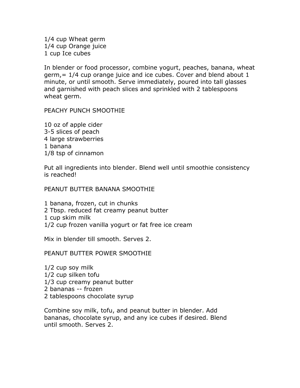1/4 cup Wheat germ 1/4 cup Orange juice 1 cup Ice cubes

In blender or food processor, combine yogurt, peaches, banana, wheat  $germ, = 1/4$  cup orange juice and ice cubes. Cover and blend about 1 minute, or until smooth. Serve immediately, poured into tall glasses and garnished with peach slices and sprinkled with 2 tablespoons wheat germ.

PEACHY PUNCH SMOOTHIE

10 oz of apple cider 3-5 slices of peach 4 large strawberries 1 banana 1/8 tsp of cinnamon

Put all ingredients into blender. Blend well until smoothie consistency is reached!

PEANUT BUTTER BANANA SMOOTHIE

1 banana, frozen, cut in chunks

- 2 Tbsp. reduced fat creamy peanut butter
- 1 cup skim milk
- 1/2 cup frozen vanilla yogurt or fat free ice cream

Mix in blender till smooth. Serves 2.

PEANUT BUTTER POWER SMOOTHIE

1/2 cup soy milk 1/2 cup silken tofu 1/3 cup creamy peanut butter 2 bananas -- frozen 2 tablespoons chocolate syrup

Combine soy milk, tofu, and peanut butter in blender. Add bananas, chocolate syrup, and any ice cubes if desired. Blend until smooth. Serves 2.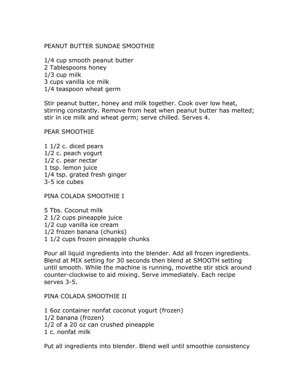#### PEANUT BUTTER SUNDAE SMOOTHIE

1/4 cup smooth peanut butter 2 Tablespoons honey 1/3 cup milk 3 cups vanilla ice milk 1/4 teaspoon wheat germ

Stir peanut butter, honey and milk together. Cook over low heat, stirring constantly. Remove from heat when peanut butter has melted; stir in ice milk and wheat germ; serve chilled. Serves 4.

#### PEAR SMOOTHIE

1 1/2 c. diced pears 1/2 c. peach yogurt 1/2 c. pear nectar 1 tsp. lemon juice 1/4 tsp. grated fresh ginger 3-5 ice cubes

PINA COLADA SMOOTHIE I

5 Tbs. Coconut milk 2 1/2 cups pineapple juice 1/2 cup vanilla ice cream 1/2 frozen banana (chunks) 1 1/2 cups frozen pineapple chunks

Pour all liquid ingredients into the blender. Add all frozen ingredients. Blend at MIX setting for 30 seconds then blend at SMOOTH setting until smooth. While the machine is running, movethe stir stick around counter-clockwise to aid mixing. Serve immediately. Each recipe serves 3-5.

#### PINA COLADA SMOOTHIE II

1 6oz container nonfat coconut yogurt (frozen) 1/2 banana (frozen) 1/2 of a 20 oz can crushed pineapple 1 c. nonfat milk

Put all ingredients into blender. Blend well until smoothie consistency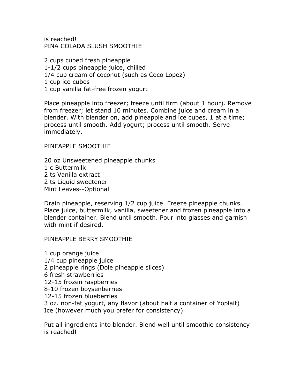is reached! PINA COLADA SLUSH SMOOTHIE

2 cups cubed fresh pineapple 1-1/2 cups pineapple juice, chilled 1/4 cup cream of coconut (such as Coco Lopez) 1 cup ice cubes 1 cup vanilla fat-free frozen yogurt

Place pineapple into freezer; freeze until firm (about 1 hour). Remove from freezer; let stand 10 minutes. Combine juice and cream in a blender. With blender on, add pineapple and ice cubes, 1 at a time; process until smooth. Add yogurt; process until smooth. Serve immediately.

#### PINEAPPLE SMOOTHIE

20 oz Unsweetened pineapple chunks 1 c Buttermilk 2 ts Vanilla extract 2 ts Liquid sweetener Mint Leaves--Optional

Drain pineapple, reserving 1/2 cup juice. Freeze pineapple chunks. Place juice, buttermilk, vanilla, sweetener and frozen pineapple into a blender container. Blend until smooth. Pour into glasses and garnish with mint if desired.

#### PINEAPPLE BERRY SMOOTHIE

1 cup orange juice 1/4 cup pineapple juice 2 pineapple rings (Dole pineapple slices) 6 fresh strawberries 12-15 frozen raspberries 8-10 frozen boysenberries 12-15 frozen blueberries 3 oz. non-fat yogurt, any flavor (about half a container of Yoplait) Ice (however much you prefer for consistency)

Put all ingredients into blender. Blend well until smoothie consistency is reached!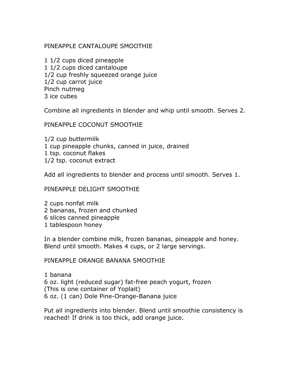#### PINEAPPLE CANTALOUPE SMOOTHIE

1 1/2 cups diced pineapple 1 1/2 cups diced cantaloupe 1/2 cup freshly squeezed orange juice 1/2 cup carrot juice Pinch nutmeg 3 ice cubes

Combine all ingredients in blender and whip until smooth. Serves 2.

PINEAPPLE COCONUT SMOOTHIE

1/2 cup buttermilk 1 cup pineapple chunks, canned in juice, drained 1 tsp. coconut flakes 1/2 tsp. coconut extract

Add all ingredients to blender and process until smooth. Serves 1.

PINEAPPLE DELIGHT SMOOTHIE

2 cups nonfat milk 2 bananas, frozen and chunked 6 slices canned pineapple

1 tablespoon honey

In a blender combine milk, frozen bananas, pineapple and honey. Blend until smooth. Makes 4 cups, or 2 large servings.

PINEAPPLE ORANGE BANANA SMOOTHIE

1 banana 6 oz. light (reduced sugar) fat-free peach yogurt, frozen (This is one container of Yoplait) 6 oz. (1 can) Dole Pine-Orange-Banana juice

Put all ingredients into blender. Blend until smoothie consistency is reached! If drink is too thick, add orange juice.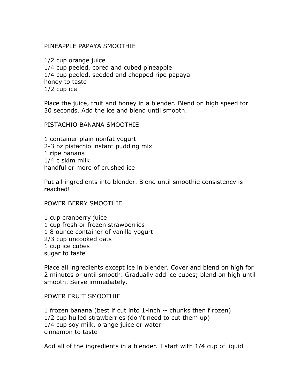#### PINEAPPLE PAPAYA SMOOTHIE

1/2 cup orange juice 1/4 cup peeled, cored and cubed pineapple 1/4 cup peeled, seeded and chopped ripe papaya honey to taste 1/2 cup ice

Place the juice, fruit and honey in a blender. Blend on high speed for 30 seconds. Add the ice and blend until smooth.

#### PISTACHIO BANANA SMOOTHIE

1 container plain nonfat yogurt 2-3 oz pistachio instant pudding mix 1 ripe banana 1/4 c skim milk handful or more of crushed ice

Put all ingredients into blender. Blend until smoothie consistency is reached!

#### POWER BERRY SMOOTHIE

1 cup cranberry juice 1 cup fresh or frozen strawberries 1 8 ounce container of vanilla yogurt 2/3 cup uncooked oats 1 cup ice cubes sugar to taste

Place all ingredients except ice in blender. Cover and blend on high for 2 minutes or until smooth. Gradually add ice cubes; blend on high until smooth. Serve immediately.

#### POWER FRUIT SMOOTHIE

1 frozen banana (best if cut into 1-inch -- chunks then f rozen) 1/2 cup hulled strawberries (don't need to cut them up) 1/4 cup soy milk, orange juice or water cinnamon to taste

Add all of the ingredients in a blender. I start with 1/4 cup of liquid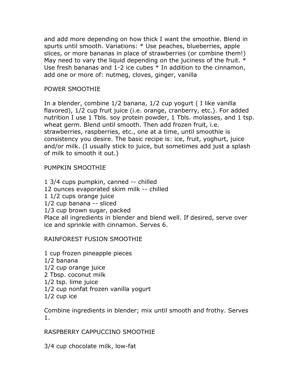and add more depending on how thick I want the smoothie. Blend in spurts until smooth. Variations: \* Use peaches, blueberries, apple slices, or more bananas in place of strawberries (or combine them!) May need to vary the liquid depending on the juciness of the fruit.  $*$ Use fresh bananas and 1-2 ice cubes \* In addition to the cinnamon, add one or more of: nutmeg, cloves, ginger, vanilla

#### POWER SMOOTHIE

In a blender, combine 1/2 banana, 1/2 cup yogurt ( I like vanilla flavored), 1/2 cup fruit juice (i.e. orange, cranberry, etc.). For added nutrition I use 1 Tbls. soy protein powder, 1 Tbls. molasses, and 1 tsp. wheat germ. Blend until smooth. Then add frozen fruit, i.e. strawberries, raspberries, etc., one at a time, until smoothie is consistency you desire. The basic recipe is: ice, fruit, yoghurt, juice and/or milk. (I usually stick to juice, but sometimes add just a splash of milk to smooth it out.)

#### PUMPKIN SMOOTHIE

1 3/4 cups pumpkin, canned -- chilled 12 ounces evaporated skim milk -- chilled 1 1/2 cups orange juice 1/2 cup banana -- sliced 1/3 cup brown sugar, packed Place all ingredients in blender and blend well. If desired, serve over ice and sprinkle with cinnamon. Serves 6.

RAINFOREST FUSION SMOOTHIE

1 cup frozen pineapple pieces 1/2 banana 1/2 cup orange juice 2 Tbsp. coconut milk 1/2 tsp. lime juice 1/2 cup nonfat frozen vanilla yogurt 1/2 cup ice

Combine ingredients in blender; mix until smooth and frothy. Serves 1.

#### RASPBERRY CAPPUCCINO SMOOTHIE

3/4 cup chocolate milk, low-fat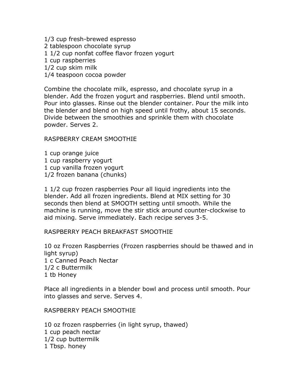1/3 cup fresh-brewed espresso 2 tablespoon chocolate syrup 1 1/2 cup nonfat coffee flavor frozen yogurt 1 cup raspberries 1/2 cup skim milk 1/4 teaspoon cocoa powder

Combine the chocolate milk, espresso, and chocolate syrup in a blender. Add the frozen yogurt and raspberries. Blend until smooth. Pour into glasses. Rinse out the blender container. Pour the milk into the blender and blend on high speed until frothy, about 15 seconds. Divide between the smoothies and sprinkle them with chocolate powder. Serves 2.

RASPBERRY CREAM SMOOTHIE

- 1 cup orange juice
- 1 cup raspberry yogurt
- 1 cup vanilla frozen yogurt
- 1/2 frozen banana (chunks)

1 1/2 cup frozen raspberries Pour all liquid ingredients into the blender. Add all frozen ingredients. Blend at MIX setting for 30 seconds then blend at SMOOTH setting until smooth. While the machine is running, move the stir stick around counter-clockwise to aid mixing. Serve immediately. Each recipe serves 3-5.

RASPBERRY PEACH BREAKFAST SMOOTHIE

10 oz Frozen Raspberries (Frozen raspberries should be thawed and in light syrup) 1 c Canned Peach Nectar 1/2 c Buttermilk 1 tb Honey

Place all ingredients in a blender bowl and process until smooth. Pour into glasses and serve. Serves 4.

RASPBERRY PEACH SMOOTHIE

10 oz frozen raspberries (in light syrup, thawed) 1 cup peach nectar 1/2 cup buttermilk 1 Tbsp. honey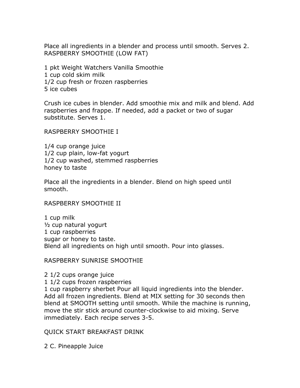Place all ingredients in a blender and process until smooth. Serves 2. RASPBERRY SMOOTHIE (LOW FAT)

1 pkt Weight Watchers Vanilla Smoothie 1 cup cold skim milk 1/2 cup fresh or frozen raspberries 5 ice cubes

Crush ice cubes in blender. Add smoothie mix and milk and blend. Add raspberries and frappe. If needed, add a packet or two of sugar substitute. Serves 1.

#### RASPBERRY SMOOTHIE I

1/4 cup orange juice 1/2 cup plain, low-fat yogurt 1/2 cup washed, stemmed raspberries honey to taste

Place all the ingredients in a blender. Blend on high speed until smooth.

#### RASPBERRY SMOOTHIE II

1 cup milk ½ cup natural yogurt 1 cup raspberries sugar or honey to taste. Blend all ingredients on high until smooth. Pour into glasses.

#### RASPBERRY SUNRISE SMOOTHIE

- 2 1/2 cups orange juice
- 1 1/2 cups frozen raspberries

1 cup raspberry sherbet Pour all liquid ingredients into the blender. Add all frozen ingredients. Blend at MIX setting for 30 seconds then blend at SMOOTH setting until smooth. While the machine is running, move the stir stick around counter-clockwise to aid mixing. Serve immediately. Each recipe serves 3-5.

#### QUICK START BREAKFAST DRINK

2 C. Pineapple Juice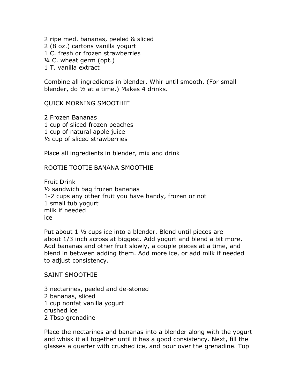- 2 ripe med. bananas, peeled & sliced
- 2 (8 oz.) cartons vanilla yogurt
- 1 C. fresh or frozen strawberries
- $\frac{1}{4}$  C. wheat germ (opt.)
- 1 T. vanilla extract

Combine all ingredients in blender. Whir until smooth. (For small blender, do ½ at a time.) Makes 4 drinks.

#### QUICK MORNING SMOOTHIE

2 Frozen Bananas 1 cup of sliced frozen peaches 1 cup of natural apple juice ½ cup of sliced strawberries

Place all ingredients in blender, mix and drink

#### ROOTIE TOOTIE BANANA SMOOTHIE

Fruit Drink ½ sandwich bag frozen bananas 1-2 cups any other fruit you have handy, frozen or not 1 small tub yogurt milk if needed ice

Put about 1 ½ cups ice into a blender. Blend until pieces are about 1/3 inch across at biggest. Add yogurt and blend a bit more. Add bananas and other fruit slowly, a couple pieces at a time, and blend in between adding them. Add more ice, or add milk if needed to adjust consistency.

#### SAINT SMOOTHIE

3 nectarines, peeled and de-stoned 2 bananas, sliced 1 cup nonfat vanilla yogurt crushed ice 2 Tbsp grenadine

Place the nectarines and bananas into a blender along with the yogurt and whisk it all together until it has a good consistency. Next, fill the glasses a quarter with crushed ice, and pour over the grenadine. Top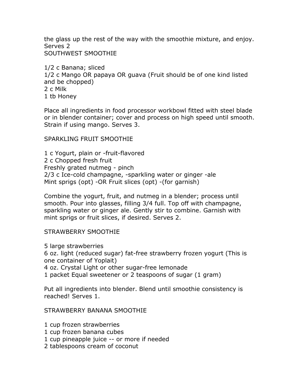the glass up the rest of the way with the smoothie mixture, and enjoy. Serves 2

SOUTHWEST SMOOTHIE

1/2 c Banana; sliced

1/2 c Mango OR papaya OR guava (Fruit should be of one kind listed and be chopped)

2 c Milk

1 tb Honey

Place all ingredients in food processor workbowl fitted with steel blade or in blender container; cover and process on high speed until smooth. Strain if using mango. Serves 3.

#### SPARKLING FRUIT SMOOTHIE

1 c Yogurt, plain or -fruit-flavored 2 c Chopped fresh fruit Freshly grated nutmeg - pinch 2/3 c Ice-cold champagne, -sparkling water or ginger -ale Mint sprigs (opt) -OR Fruit slices (opt) -(for garnish)

Combine the yogurt, fruit, and nutmeg in a blender; process until smooth. Pour into glasses, filling 3/4 full. Top off with champagne, sparkling water or ginger ale. Gently stir to combine. Garnish with mint sprigs or fruit slices, if desired. Serves 2.

#### STRAWBERRY SMOOTHIE

5 large strawberries 6 oz. light (reduced sugar) fat-free strawberry frozen yogurt (This is one container of Yoplait)

4 oz. Crystal Light or other sugar-free lemonade

1 packet Equal sweetener or 2 teaspoons of sugar (1 gram)

Put all ingredients into blender. Blend until smoothie consistency is reached! Serves 1.

#### STRAWBERRY BANANA SMOOTHIE

- 1 cup frozen strawberries
- 1 cup frozen banana cubes
- 1 cup pineapple juice -- or more if needed
- 2 tablespoons cream of coconut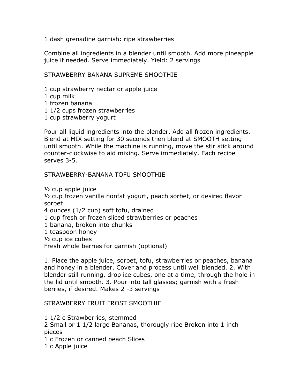1 dash grenadine garnish: ripe strawberries

Combine all ingredients in a blender until smooth. Add more pineapple juice if needed. Serve immediately. Yield: 2 servings

STRAWBERRY BANANA SUPREME SMOOTHIE

- 1 cup strawberry nectar or apple juice
- 1 cup milk
- 1 frozen banana
- 1 1/2 cups frozen strawberries
- 1 cup strawberry yogurt

Pour all liquid ingredients into the blender. Add all frozen ingredients. Blend at MIX setting for 30 seconds then blend at SMOOTH setting until smooth. While the machine is running, move the stir stick around counter-clockwise to aid mixing. Serve immediately. Each recipe serves 3-5.

#### STRAWBERRY-BANANA TOFU SMOOTHIE

½ cup apple juice

½ cup frozen vanilla nonfat yogurt, peach sorbet, or desired flavor sorbet

4 ounces (1/2 cup) soft tofu, drained

1 cup fresh or frozen sliced strawberries or peaches

1 banana, broken into chunks

1 teaspoon honey

½ cup ice cubes

Fresh whole berries for garnish (optional)

1. Place the apple juice, sorbet, tofu, strawberries or peaches, banana and honey in a blender. Cover and process until well blended. 2. With blender still running, drop ice cubes, one at a time, through the hole in the lid until smooth. 3. Pour into tall glasses; garnish with a fresh berries, if desired. Makes 2 -3 servings

#### STRAWBERRY FRUIT FROST SMOOTHIE

1 1/2 c Strawberries, stemmed

2 Small or 1 1/2 large Bananas, thorougly ripe Broken into 1 inch pieces

1 c Frozen or canned peach Slices

1 c Apple juice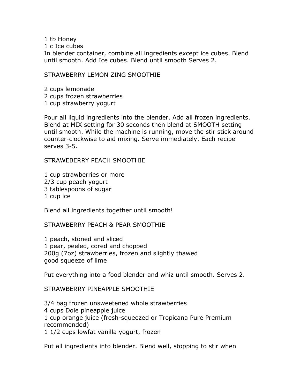- 1 tb Honey
- 1 c Ice cubes

In blender container, combine all ingredients except ice cubes. Blend until smooth. Add Ice cubes. Blend until smooth Serves 2.

#### STRAWBERRY LEMON ZING SMOOTHIE

- 2 cups lemonade
- 2 cups frozen strawberries
- 1 cup strawberry yogurt

Pour all liquid ingredients into the blender. Add all frozen ingredients. Blend at MIX setting for 30 seconds then blend at SMOOTH setting until smooth. While the machine is running, move the stir stick around counter-clockwise to aid mixing. Serve immediately. Each recipe serves 3-5.

STRAWEBERRY PEACH SMOOTHIE

1 cup strawberries or more 2/3 cup peach yogurt 3 tablespoons of sugar 1 cup ice

Blend all ingredients together until smooth!

STRAWBERRY PEACH & PEAR SMOOTHIE

1 peach, stoned and sliced 1 pear, peeled, cored and chopped 200g (7oz) strawberries, frozen and slightly thawed good squeeze of lime

Put everything into a food blender and whiz until smooth. Serves 2.

STRAWBERRY PINEAPPLE SMOOTHIE

3/4 bag frozen unsweetened whole strawberries 4 cups Dole pineapple juice 1 cup orange juice (fresh-squeezed or Tropicana Pure Premium recommended) 1 1/2 cups lowfat vanilla yogurt, frozen

Put all ingredients into blender. Blend well, stopping to stir when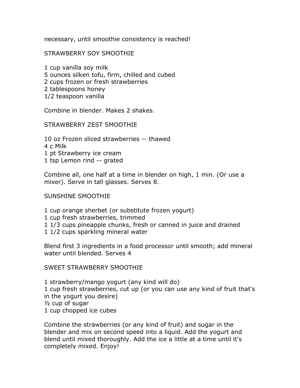necessary, until smoothie consistency is reached!

#### STRAWBERRY SOY SMOOTHIE

1 cup vanilla soy milk 5 ounces silken tofu, firm, chilled and cubed 2 cups frozen or fresh strawberries 2 tablespoons honey 1/2 teaspoon vanilla

Combine in blender. Makes 2 shakes.

#### STRAWBERRY ZEST SMOOTHIE

10 oz Frozen sliced strawberries -- thawed

- 4 c Milk
- 1 pt Strawberry ice cream
- 1 tsp Lemon rind -- grated

Combine all, one half at a time in blender on high, 1 min. (Or use a mixer). Serve in tall glasses. Serves 8.

#### SUNSHINE SMOOTHIE

- 1 cup orange sherbet (or substitute frozen yogurt)
- 1 cup fresh strawberries, trimmed
- 1 1/3 cups pineapple chunks, fresh or canned in juice and drained
- 1 1/2 cups sparkling mineral water

Blend first 3 ingredients in a food processor until smooth; add mineral water until blended. Serves 4

#### SWEET STRAWBERRY SMOOTHIE

1 strawberry/mango yogurt (any kind will do) 1 cup fresh strawberries, cut up (or you can use any kind of fruit that's in the yogurt you desire) ½ cup of sugar 1 cup chopped ice cubes

Combine the strawberries (or any kind of fruit) and sugar in the blender and mix on second speed into a liquid. Add the yogurt and blend until mixed thoroughly. Add the ice a little at a time until it's completely mixed. Enjoy!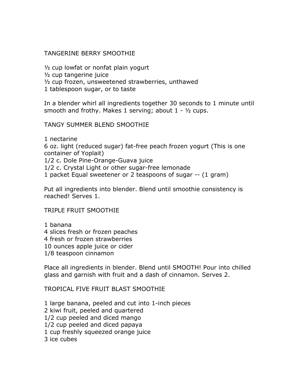#### TANGERINE BERRY SMOOTHIE

½ cup lowfat or nonfat plain yogurt ½ cup tangerine juice ½ cup frozen, unsweetened strawberries, unthawed 1 tablespoon sugar, or to taste

In a blender whirl all ingredients together 30 seconds to 1 minute until smooth and frothy. Makes 1 serving; about  $1 - \frac{1}{2}$  cups.

#### TANGY SUMMER BLEND SMOOTHIE

1 nectarine 6 oz. light (reduced sugar) fat-free peach frozen yogurt (This is one container of Yoplait) 1/2 c. Dole Pine-Orange-Guava juice 1/2 c. Crystal Light or other sugar-free lemonade 1 packet Equal sweetener or 2 teaspoons of sugar -- (1 gram)

Put all ingredients into blender. Blend until smoothie consistency is reached! Serves 1.

#### TRIPLE FRUIT SMOOTHIE

1 banana 4 slices fresh or frozen peaches 4 fresh or frozen strawberries 10 ounces apple juice or cider 1/8 teaspoon cinnamon

Place all ingredients in blender. Blend until SMOOTH! Pour into chilled glass and garnish with fruit and a dash of cinnamon. Serves 2.

#### TROPICAL FIVE FRUIT BLAST SMOOTHIE

1 large banana, peeled and cut into 1-inch pieces 2 kiwi fruit, peeled and quartered 1/2 cup peeled and diced mango 1/2 cup peeled and diced papaya 1 cup freshly squeezed orange juice 3 ice cubes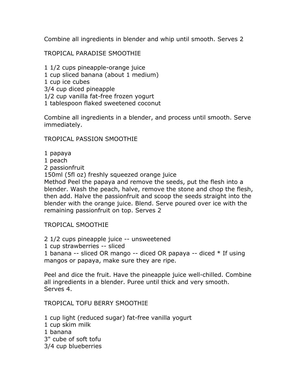Combine all ingredients in blender and whip until smooth. Serves 2

TROPICAL PARADISE SMOOTHIE

1 1/2 cups pineapple-orange juice 1 cup sliced banana (about 1 medium) 1 cup ice cubes 3/4 cup diced pineapple 1/2 cup vanilla fat-free frozen yogurt 1 tablespoon flaked sweetened coconut

Combine all ingredients in a blender, and process until smooth. Serve immediately.

#### TROPICAL PASSION SMOOTHIE

- 1 papaya
- 1 peach
- 2 passionfruit
- 150ml (5fl oz) freshly squeezed orange juice

Method Peel the papaya and remove the seeds, put the flesh into a blender. Wash the peach, halve, remove the stone and chop the flesh, then add. Halve the passionfruit and scoop the seeds straight into the blender with the orange juice. Blend. Serve poured over ice with the remaining passionfruit on top. Serves 2

TROPICAL SMOOTHIE

2 1/2 cups pineapple juice -- unsweetened

1 cup strawberries -- sliced

1 banana -- sliced OR mango -- diced OR papaya -- diced \* If using mangos or papaya, make sure they are ripe.

Peel and dice the fruit. Have the pineapple juice well-chilled. Combine all ingredients in a blender. Puree until thick and very smooth. Serves 4.

TROPICAL TOFU BERRY SMOOTHIE

1 cup light (reduced sugar) fat-free vanilla yogurt

- 1 cup skim milk
- 1 banana
- 3" cube of soft tofu
- 3/4 cup blueberries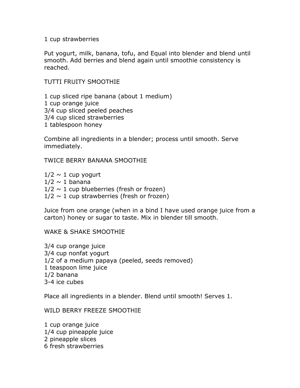1 cup strawberries

Put yogurt, milk, banana, tofu, and Equal into blender and blend until smooth. Add berries and blend again until smoothie consistency is reached.

TUTTI FRUITY SMOOTHIE

1 cup sliced ripe banana (about 1 medium) 1 cup orange juice 3/4 cup sliced peeled peaches 3/4 cup sliced strawberries 1 tablespoon honey

Combine all ingredients in a blender; process until smooth. Serve immediately.

TWICE BERRY BANANA SMOOTHIE

 $1/2 \sim 1$  cup yogurt  $1/2 \sim 1$  banana  $1/2 \sim 1$  cup blueberries (fresh or frozen)  $1/2 \sim 1$  cup strawberries (fresh or frozen)

Juice from one orange (when in a bind I have used orange juice from a carton) honey or sugar to taste. Mix in blender till smooth.

WAKE & SHAKE SMOOTHIE

3/4 cup orange juice 3/4 cup nonfat yogurt 1/2 of a medium papaya (peeled, seeds removed) 1 teaspoon lime juice 1/2 banana 3-4 ice cubes

Place all ingredients in a blender. Blend until smooth! Serves 1.

WILD BERRY FREEZE SMOOTHIE

1 cup orange juice 1/4 cup pineapple juice 2 pineapple slices 6 fresh strawberries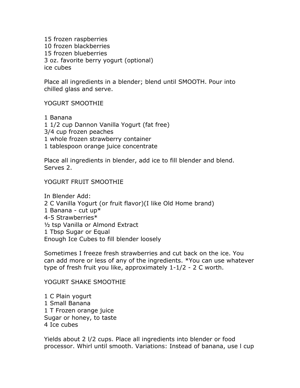15 frozen raspberries 10 frozen blackberries 15 frozen blueberries 3 oz. favorite berry yogurt (optional) ice cubes

Place all ingredients in a blender; blend until SMOOTH. Pour into chilled glass and serve.

#### YOGURT SMOOTHIE

1 Banana 1 1/2 cup Dannon Vanilla Yogurt (fat free) 3/4 cup frozen peaches 1 whole frozen strawberry container 1 tablespoon orange juice concentrate

Place all ingredients in blender, add ice to fill blender and blend. Serves 2.

#### YOGURT FRUIT SMOOTHIE

In Blender Add: 2 C Vanilla Yogurt (or fruit flavor)(I like Old Home brand) 1 Banana - cut up $*$ 4-5 Strawberries\* ½ tsp Vanilla or Almond Extract 1 Tbsp Sugar or Equal Enough Ice Cubes to fill blender loosely

Sometimes I freeze fresh strawberries and cut back on the ice. You can add more or less of any of the ingredients. \*You can use whatever type of fresh fruit you like, approximately 1-1/2 - 2 C worth.

#### YOGURT SHAKE SMOOTHIE

1 C Plain yogurt 1 Small Banana 1 T Frozen orange juice Sugar or honey, to taste 4 Ice cubes

Yields about 2 l/2 cups. Place all ingredients into blender or food processor. Whirl until smooth. Variations: Instead of banana, use l cup